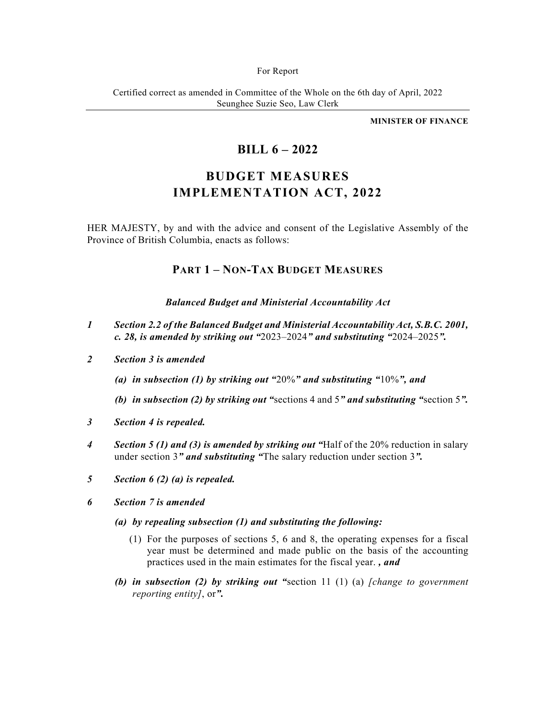#### For Report

Certified correct as amended in Committee of the Whole on the 6th day of April, 2022 Seunghee Suzie Seo, Law Clerk

**MINISTER OF FINANCE** 

# **BILL 6 – 2022**

# **BUDGET MEASURES IMPLEMENTATION ACT, 2022**

HER MAJESTY, by and with the advice and consent of the Legislative Assembly of the Province of British Columbia, enacts as follows:

# **PART 1 – NON-TAX BUDGET MEASURES**

# *Balanced Budget and Ministerial Accountability Act*

- *1 Section 2.2 of the Balanced Budget and Ministerial Accountability Act, S.B.C. 2001, c. 28, is amended by striking out "*2023–2024*" and substituting "*2024–2025*".*
- *2 Section 3 is amended* 
	- *(a) in subsection (1) by striking out "*20%*" and substituting "*10%*", and*
	- *(b) in subsection (2) by striking out "*sections 4 and 5*" and substituting "*section 5*".*
- *3 Section 4 is repealed.*
- *4 Section 5 (1) and (3) is amended by striking out "*Half of the 20% reduction in salary under section 3*" and substituting "*The salary reduction under section 3*".*
- *5 Section 6 (2) (a) is repealed.*
- *6 Section 7 is amended* 
	- *(a) by repealing subsection (1) and substituting the following:* 
		- (1) For the purposes of sections 5, 6 and 8, the operating expenses for a fiscal year must be determined and made public on the basis of the accounting practices used in the main estimates for the fiscal year. *, and*
	- *(b) in subsection (2) by striking out "*section 11 (1) (a) *[change to government reporting entity]*, or*".*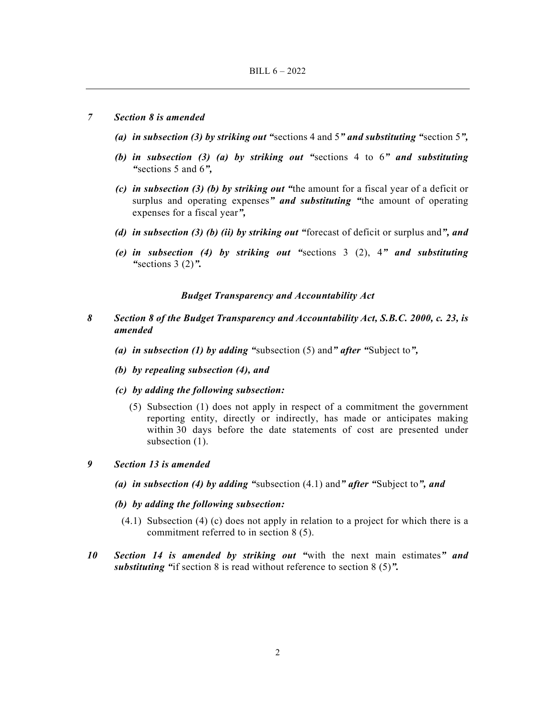# *7 Section 8 is amended*

- *(a) in subsection (3) by striking out "*sections 4 and 5*" and substituting "*section 5*",*
- *(b) in subsection (3) (a) by striking out "*sections 4 to 6*" and substituting "*sections 5 and 6*",*
- *(c) in subsection (3) (b) by striking out "*the amount for a fiscal year of a deficit or surplus and operating expenses*" and substituting "*the amount of operating expenses for a fiscal year*",*
- *(d) in subsection (3) (b) (ii) by striking out "*forecast of deficit or surplus and*", and*
- *(e) in subsection (4) by striking out "*sections 3 (2), 4*" and substituting "*sections 3 (2)*".*

# *Budget Transparency and Accountability Act*

- *8 Section 8 of the Budget Transparency and Accountability Act, S.B.C. 2000, c. 23, is amended* 
	- *(a) in subsection (1) by adding "*subsection (5) and*" after "*Subject to*",*
	- *(b) by repealing subsection (4), and*
	- *(c) by adding the following subsection:* 
		- (5) Subsection (1) does not apply in respect of a commitment the government reporting entity, directly or indirectly, has made or anticipates making within 30 days before the date statements of cost are presented under subsection  $(1)$ .

# *9 Section 13 is amended*

- *(a) in subsection (4) by adding "*subsection (4.1) and*" after "*Subject to*", and*
- *(b) by adding the following subsection:* 
	- (4.1) Subsection (4) (c) does not apply in relation to a project for which there is a commitment referred to in section 8 (5).
- *10 Section 14 is amended by striking out "*with the next main estimates*" and substituting "*if section 8 is read without reference to section 8 (5)*".*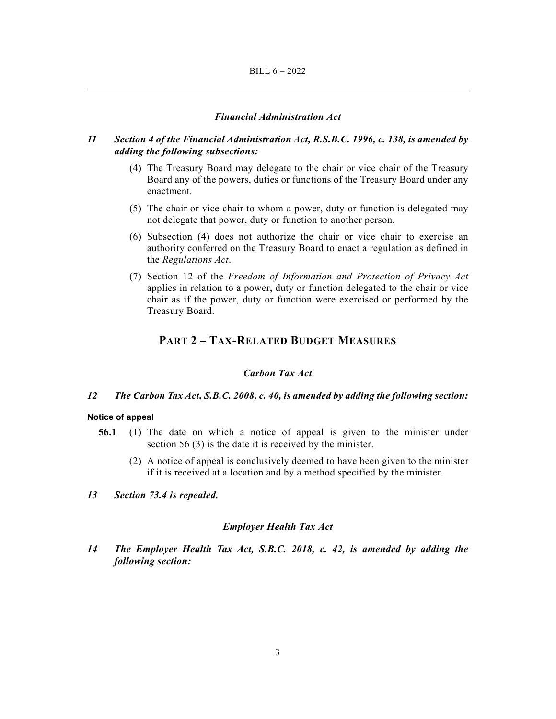# *Financial Administration Act*

# *11 Section 4 of the Financial Administration Act, R.S.B.C. 1996, c. 138, is amended by adding the following subsections:*

- (4) The Treasury Board may delegate to the chair or vice chair of the Treasury Board any of the powers, duties or functions of the Treasury Board under any enactment.
- (5) The chair or vice chair to whom a power, duty or function is delegated may not delegate that power, duty or function to another person.
- (6) Subsection (4) does not authorize the chair or vice chair to exercise an authority conferred on the Treasury Board to enact a regulation as defined in the *Regulations Act*.
- (7) Section 12 of the *Freedom of Information and Protection of Privacy Act* applies in relation to a power, duty or function delegated to the chair or vice chair as if the power, duty or function were exercised or performed by the Treasury Board.

# **PART 2 – TAX-RELATED BUDGET MEASURES**

# *Carbon Tax Act*

# *12 The Carbon Tax Act, S.B.C. 2008, c. 40, is amended by adding the following section:*

#### **Notice of appeal**

- **56.1** (1) The date on which a notice of appeal is given to the minister under section 56 (3) is the date it is received by the minister.
	- (2) A notice of appeal is conclusively deemed to have been given to the minister if it is received at a location and by a method specified by the minister.
- *13 Section 73.4 is repealed.*

#### *Employer Health Tax Act*

*14 The Employer Health Tax Act, S.B.C. 2018, c. 42, is amended by adding the following section:*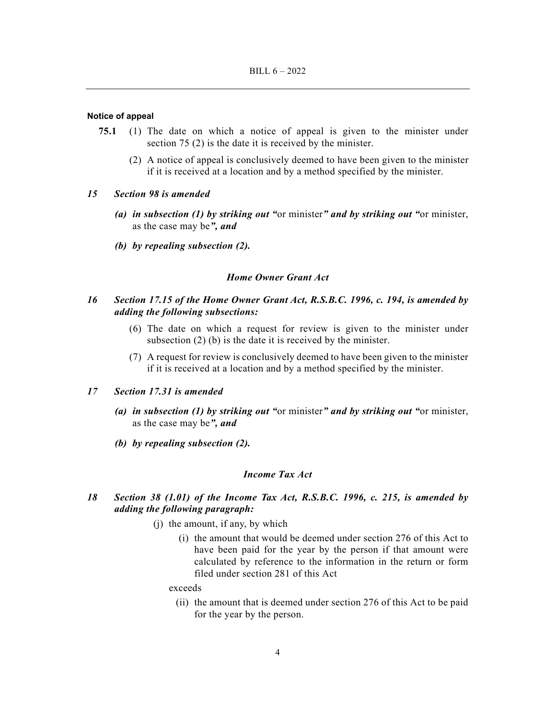#### **Notice of appeal**

- **75.1** (1) The date on which a notice of appeal is given to the minister under section 75 (2) is the date it is received by the minister.
	- (2) A notice of appeal is conclusively deemed to have been given to the minister if it is received at a location and by a method specified by the minister.

#### *15 Section 98 is amended*

- *(a) in subsection (1) by striking out "*or minister*" and by striking out "*or minister, as the case may be*", and*
- *(b) by repealing subsection (2).*

# *Home Owner Grant Act*

# *16 Section 17.15 of the Home Owner Grant Act, R.S.B.C. 1996, c. 194, is amended by adding the following subsections:*

- (6) The date on which a request for review is given to the minister under subsection (2) (b) is the date it is received by the minister.
- (7) A request for review is conclusively deemed to have been given to the minister if it is received at a location and by a method specified by the minister.

# *17 Section 17.31 is amended*

- *(a) in subsection (1) by striking out "*or minister*" and by striking out "*or minister, as the case may be*", and*
- *(b) by repealing subsection (2).*

# *Income Tax Act*

- *18 Section 38 (1.01) of the Income Tax Act, R.S.B.C. 1996, c. 215, is amended by adding the following paragraph:* 
	- (j) the amount, if any, by which
		- (i) the amount that would be deemed under section 276 of this Act to have been paid for the year by the person if that amount were calculated by reference to the information in the return or form filed under section 281 of this Act

#### exceeds

 (ii) the amount that is deemed under section 276 of this Act to be paid for the year by the person.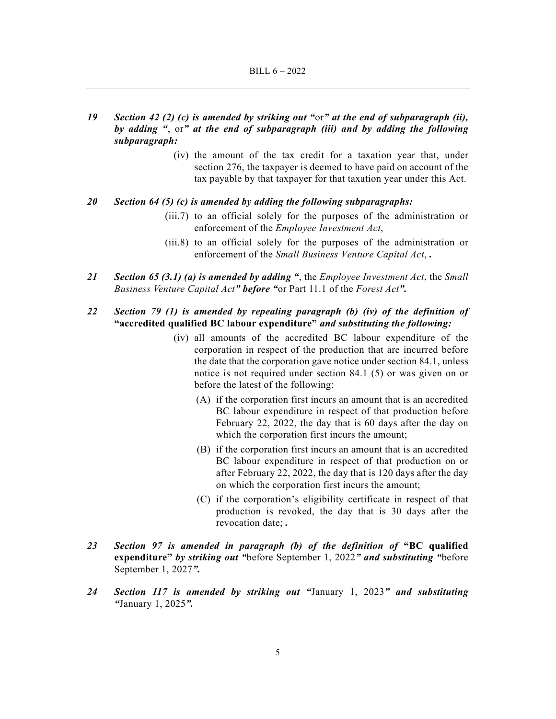- *19 Section 42 (2) (c) is amended by striking out "*or*" at the end of subparagraph (ii), by adding "*, or*" at the end of subparagraph (iii) and by adding the following subparagraph:* 
	- (iv) the amount of the tax credit for a taxation year that, under section 276, the taxpayer is deemed to have paid on account of the tax payable by that taxpayer for that taxation year under this Act.

# *20 Section 64 (5) (c) is amended by adding the following subparagraphs:*

- (iii.7) to an official solely for the purposes of the administration or enforcement of the *Employee Investment Act*,
- (iii.8) to an official solely for the purposes of the administration or enforcement of the *Small Business Venture Capital Act*, *.*
- *21 Section 65 (3.1) (a) is amended by adding "*, the *Employee Investment Act*, the *Small Business Venture Capital Act" before "*or Part 11.1 of the *Forest Act".*

# *22 Section 79 (1) is amended by repealing paragraph (b) (iv) of the definition of*  **"accredited qualified BC labour expenditure"** *and substituting the following:*

- (iv) all amounts of the accredited BC labour expenditure of the corporation in respect of the production that are incurred before the date that the corporation gave notice under section 84.1, unless notice is not required under section 84.1 (5) or was given on or before the latest of the following:
	- (A) if the corporation first incurs an amount that is an accredited BC labour expenditure in respect of that production before February 22, 2022, the day that is 60 days after the day on which the corporation first incurs the amount;
	- (B) if the corporation first incurs an amount that is an accredited BC labour expenditure in respect of that production on or after February 22, 2022, the day that is 120 days after the day on which the corporation first incurs the amount;
	- (C) if the corporation's eligibility certificate in respect of that production is revoked, the day that is 30 days after the revocation date; *.*
- *23 Section 97 is amended in paragraph (b) of the definition of* **"BC qualified expenditure"** *by striking out "*before September 1, 2022*" and substituting "*before September 1, 2027*".*
- *24 Section 117 is amended by striking out "*January 1, 2023*" and substituting "*January 1, 2025*".*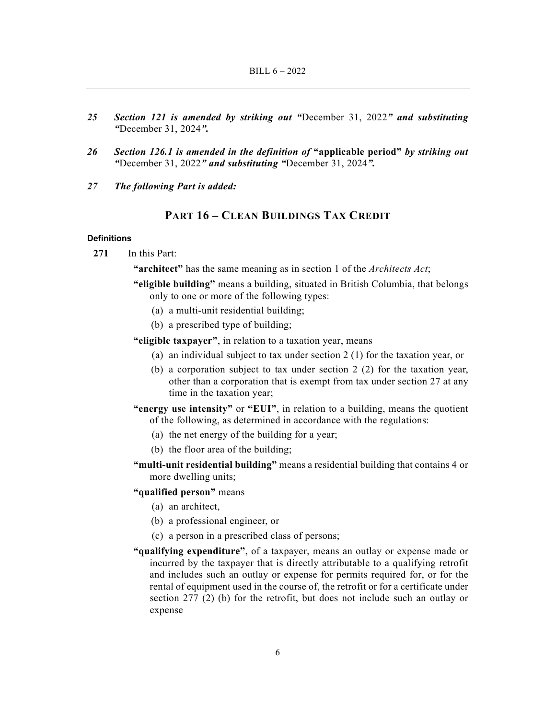- *25 Section 121 is amended by striking out "*December 31, 2022*" and substituting "*December 31, 2024*".*
- *26 Section 126.1 is amended in the definition of* **"applicable period"** *by striking out "*December 31, 2022*" and substituting "*December 31, 2024*".*
- *27 The following Part is added:*

# **PART 16 – CLEAN BUILDINGS TAX CREDIT**

### **Definitions**

**271** In this Part:

**"architect"** has the same meaning as in section 1 of the *Architects Act*;

- **"eligible building"** means a building, situated in British Columbia, that belongs only to one or more of the following types:
	- (a) a multi-unit residential building;
	- (b) a prescribed type of building;

**"eligible taxpayer"**, in relation to a taxation year, means

- (a) an individual subject to tax under section 2 (1) for the taxation year, or
- (b) a corporation subject to tax under section 2 (2) for the taxation year, other than a corporation that is exempt from tax under section 27 at any time in the taxation year;
- **"energy use intensity"** or **"EUI"**, in relation to a building, means the quotient of the following, as determined in accordance with the regulations:
	- (a) the net energy of the building for a year;
	- (b) the floor area of the building;
- **"multi-unit residential building"** means a residential building that contains 4 or more dwelling units;
- **"qualified person"** means
	- (a) an architect,
	- (b) a professional engineer, or
	- (c) a person in a prescribed class of persons;
- **"qualifying expenditure"**, of a taxpayer, means an outlay or expense made or incurred by the taxpayer that is directly attributable to a qualifying retrofit and includes such an outlay or expense for permits required for, or for the rental of equipment used in the course of, the retrofit or for a certificate under section 277 (2) (b) for the retrofit, but does not include such an outlay or expense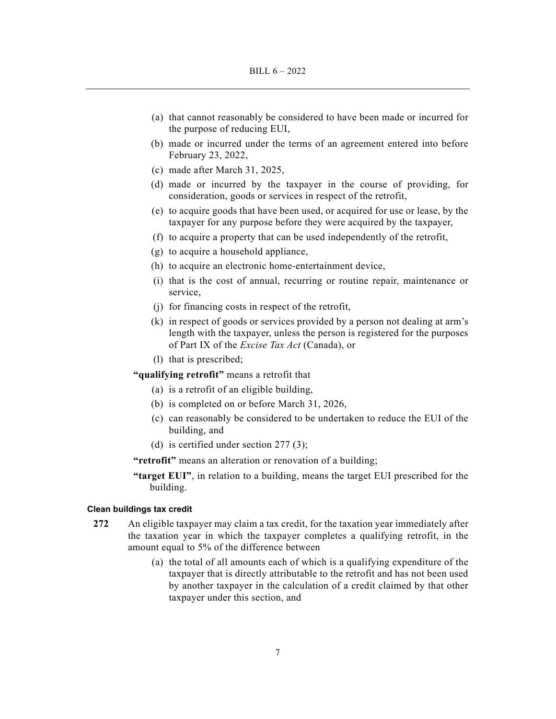- (a) that cannot reasonably be considered to have been made or incurred for the purpose of reducing EUI,
- (b) made or incurred under the terms of an agreement entered into before February 23, 2022,
- (c) made after March 31, 2025,
- (d) made or incurred by the taxpayer in the course of providing, for consideration, goods or services in respect of the retrofit,
- (e) to acquire goods that have been used, or acquired for use or lease, by the taxpayer for any purpose before they were acquired by the taxpayer,
- (f) to acquire a property that can be used independently of the retrofit,
- (g) to acquire a household appliance,
- (h) to acquire an electronic home-entertainment device,
- (i) that is the cost of annual, recurring or routine repair, maintenance or service,
- (j) for financing costs in respect of the retrofit,
- (k) in respect of goods or services provided by a person not dealing at arm's length with the taxpayer, unless the person is registered for the purposes of Part IX of the *Excise Tax Act* (Canada), or
- (l) that is prescribed;

**"qualifying retrofit"** means a retrofit that

- (a) is a retrofit of an eligible building,
- (b) is completed on or before March 31, 2026,
- (c) can reasonably be considered to be undertaken to reduce the EUI of the building, and
- (d) is certified under section 277 (3);

**"retrofit"** means an alteration or renovation of a building;

**"target EUI"**, in relation to a building, means the target EUI prescribed for the building.

# **Clean buildings tax credit**

- **272** An eligible taxpayer may claim a tax credit, for the taxation year immediately after the taxation year in which the taxpayer completes a qualifying retrofit, in the amount equal to 5% of the difference between
	- (a) the total of all amounts each of which is a qualifying expenditure of the taxpayer that is directly attributable to the retrofit and has not been used by another taxpayer in the calculation of a credit claimed by that other taxpayer under this section, and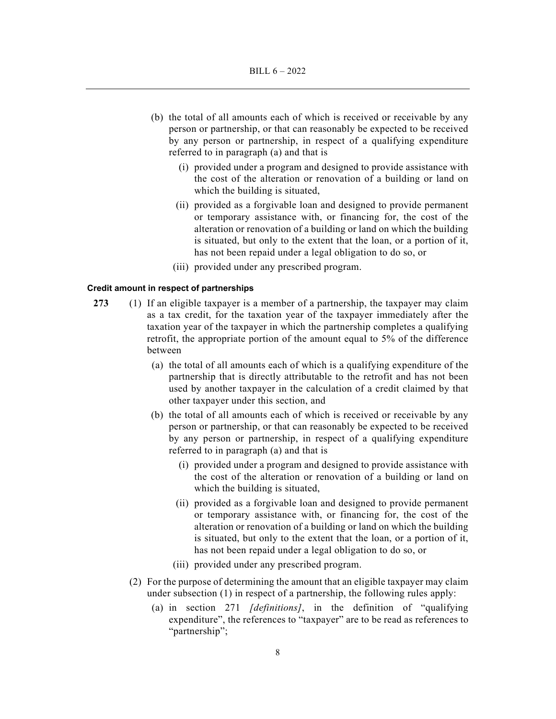- (b) the total of all amounts each of which is received or receivable by any person or partnership, or that can reasonably be expected to be received by any person or partnership, in respect of a qualifying expenditure referred to in paragraph (a) and that is
	- (i) provided under a program and designed to provide assistance with the cost of the alteration or renovation of a building or land on which the building is situated,
	- (ii) provided as a forgivable loan and designed to provide permanent or temporary assistance with, or financing for, the cost of the alteration or renovation of a building or land on which the building is situated, but only to the extent that the loan, or a portion of it, has not been repaid under a legal obligation to do so, or
	- (iii) provided under any prescribed program.

#### **Credit amount in respect of partnerships**

- **273** (1) If an eligible taxpayer is a member of a partnership, the taxpayer may claim as a tax credit, for the taxation year of the taxpayer immediately after the taxation year of the taxpayer in which the partnership completes a qualifying retrofit, the appropriate portion of the amount equal to 5% of the difference between
	- (a) the total of all amounts each of which is a qualifying expenditure of the partnership that is directly attributable to the retrofit and has not been used by another taxpayer in the calculation of a credit claimed by that other taxpayer under this section, and
	- (b) the total of all amounts each of which is received or receivable by any person or partnership, or that can reasonably be expected to be received by any person or partnership, in respect of a qualifying expenditure referred to in paragraph (a) and that is
		- (i) provided under a program and designed to provide assistance with the cost of the alteration or renovation of a building or land on which the building is situated,
		- (ii) provided as a forgivable loan and designed to provide permanent or temporary assistance with, or financing for, the cost of the alteration or renovation of a building or land on which the building is situated, but only to the extent that the loan, or a portion of it, has not been repaid under a legal obligation to do so, or
		- (iii) provided under any prescribed program.
	- (2) For the purpose of determining the amount that an eligible taxpayer may claim under subsection (1) in respect of a partnership, the following rules apply:
		- (a) in section 271 *[definitions]*, in the definition of "qualifying expenditure", the references to "taxpayer" are to be read as references to "partnership";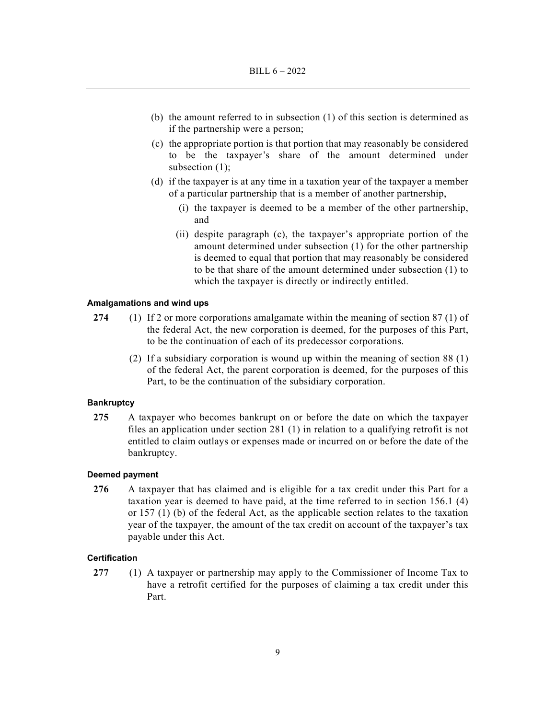- (b) the amount referred to in subsection (1) of this section is determined as if the partnership were a person;
- (c) the appropriate portion is that portion that may reasonably be considered to be the taxpayer's share of the amount determined under subsection (1);
- (d) if the taxpayer is at any time in a taxation year of the taxpayer a member of a particular partnership that is a member of another partnership,
	- (i) the taxpayer is deemed to be a member of the other partnership, and
	- (ii) despite paragraph (c), the taxpayer's appropriate portion of the amount determined under subsection (1) for the other partnership is deemed to equal that portion that may reasonably be considered to be that share of the amount determined under subsection (1) to which the taxpayer is directly or indirectly entitled.

#### **Amalgamations and wind ups**

- **274** (1) If 2 or more corporations amalgamate within the meaning of section 87 (1) of the federal Act, the new corporation is deemed, for the purposes of this Part, to be the continuation of each of its predecessor corporations.
	- (2) If a subsidiary corporation is wound up within the meaning of section 88 (1) of the federal Act, the parent corporation is deemed, for the purposes of this Part, to be the continuation of the subsidiary corporation.

#### **Bankruptcy**

**275** A taxpayer who becomes bankrupt on or before the date on which the taxpayer files an application under section 281 (1) in relation to a qualifying retrofit is not entitled to claim outlays or expenses made or incurred on or before the date of the bankruptcy.

# **Deemed payment**

**276** A taxpayer that has claimed and is eligible for a tax credit under this Part for a taxation year is deemed to have paid, at the time referred to in section 156.1 (4) or 157 (1) (b) of the federal Act, as the applicable section relates to the taxation year of the taxpayer, the amount of the tax credit on account of the taxpayer's tax payable under this Act.

#### **Certification**

**277** (1) A taxpayer or partnership may apply to the Commissioner of Income Tax to have a retrofit certified for the purposes of claiming a tax credit under this Part.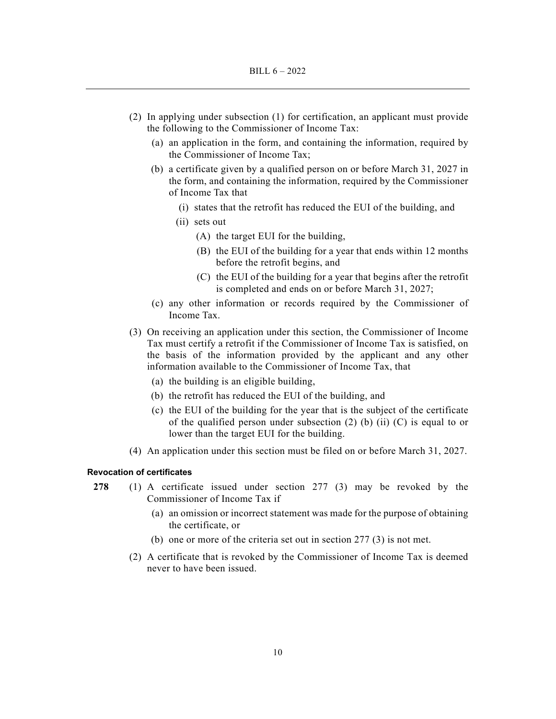- (2) In applying under subsection (1) for certification, an applicant must provide the following to the Commissioner of Income Tax:
	- (a) an application in the form, and containing the information, required by the Commissioner of Income Tax;
	- (b) a certificate given by a qualified person on or before March 31, 2027 in the form, and containing the information, required by the Commissioner of Income Tax that
		- (i) states that the retrofit has reduced the EUI of the building, and
		- (ii) sets out
			- (A) the target EUI for the building,
			- (B) the EUI of the building for a year that ends within 12 months before the retrofit begins, and
			- (C) the EUI of the building for a year that begins after the retrofit is completed and ends on or before March 31, 2027;
	- (c) any other information or records required by the Commissioner of Income Tax.
- (3) On receiving an application under this section, the Commissioner of Income Tax must certify a retrofit if the Commissioner of Income Tax is satisfied, on the basis of the information provided by the applicant and any other information available to the Commissioner of Income Tax, that
	- (a) the building is an eligible building,
	- (b) the retrofit has reduced the EUI of the building, and
	- (c) the EUI of the building for the year that is the subject of the certificate of the qualified person under subsection (2) (b) (ii) (C) is equal to or lower than the target EUI for the building.
- (4) An application under this section must be filed on or before March 31, 2027.

### **Revocation of certificates**

- **278** (1) A certificate issued under section 277 (3) may be revoked by the Commissioner of Income Tax if
	- (a) an omission or incorrect statement was made for the purpose of obtaining the certificate, or
	- (b) one or more of the criteria set out in section 277 (3) is not met.
	- (2) A certificate that is revoked by the Commissioner of Income Tax is deemed never to have been issued.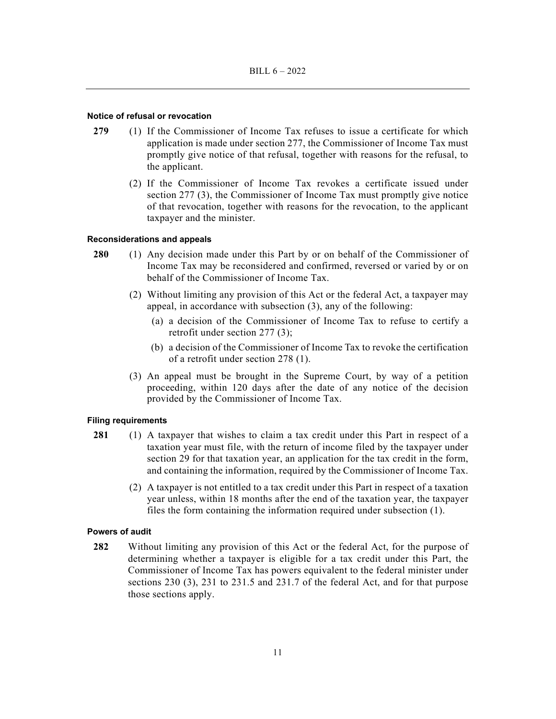# **Notice of refusal or revocation**

- **279** (1) If the Commissioner of Income Tax refuses to issue a certificate for which application is made under section 277, the Commissioner of Income Tax must promptly give notice of that refusal, together with reasons for the refusal, to the applicant.
	- (2) If the Commissioner of Income Tax revokes a certificate issued under section 277 (3), the Commissioner of Income Tax must promptly give notice of that revocation, together with reasons for the revocation, to the applicant taxpayer and the minister.

# **Reconsiderations and appeals**

- **280** (1) Any decision made under this Part by or on behalf of the Commissioner of Income Tax may be reconsidered and confirmed, reversed or varied by or on behalf of the Commissioner of Income Tax.
	- (2) Without limiting any provision of this Act or the federal Act, a taxpayer may appeal, in accordance with subsection (3), any of the following:
		- (a) a decision of the Commissioner of Income Tax to refuse to certify a retrofit under section 277 (3);
		- (b) a decision of the Commissioner of Income Tax to revoke the certification of a retrofit under section 278 (1).
	- (3) An appeal must be brought in the Supreme Court, by way of a petition proceeding, within 120 days after the date of any notice of the decision provided by the Commissioner of Income Tax.

#### **Filing requirements**

- **281** (1) A taxpayer that wishes to claim a tax credit under this Part in respect of a taxation year must file, with the return of income filed by the taxpayer under section 29 for that taxation year, an application for the tax credit in the form, and containing the information, required by the Commissioner of Income Tax.
	- (2) A taxpayer is not entitled to a tax credit under this Part in respect of a taxation year unless, within 18 months after the end of the taxation year, the taxpayer files the form containing the information required under subsection (1).

#### **Powers of audit**

**282** Without limiting any provision of this Act or the federal Act, for the purpose of determining whether a taxpayer is eligible for a tax credit under this Part, the Commissioner of Income Tax has powers equivalent to the federal minister under sections 230 (3), 231 to 231.5 and 231.7 of the federal Act, and for that purpose those sections apply.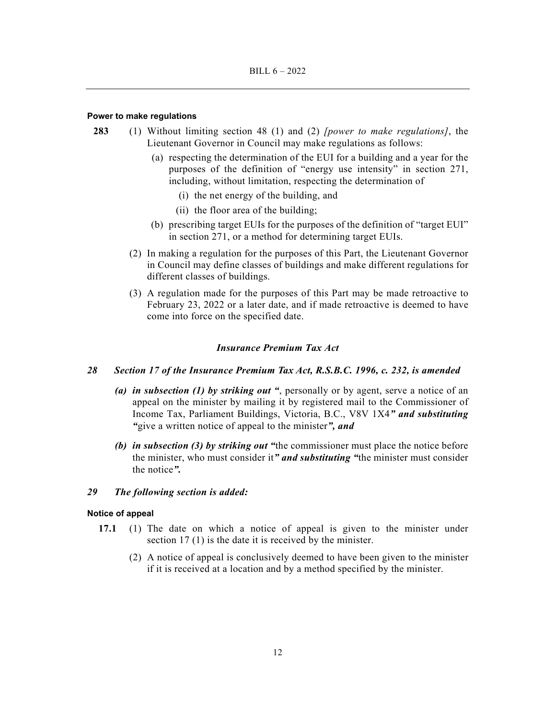#### **Power to make regulations**

- **283** (1) Without limiting section 48 (1) and (2) *[power to make regulations]*, the Lieutenant Governor in Council may make regulations as follows:
	- (a) respecting the determination of the EUI for a building and a year for the purposes of the definition of "energy use intensity" in section 271, including, without limitation, respecting the determination of
		- (i) the net energy of the building, and
		- (ii) the floor area of the building;
	- (b) prescribing target EUIs for the purposes of the definition of "target EUI" in section 271, or a method for determining target EUIs.
	- (2) In making a regulation for the purposes of this Part, the Lieutenant Governor in Council may define classes of buildings and make different regulations for different classes of buildings.
	- (3) A regulation made for the purposes of this Part may be made retroactive to February 23, 2022 or a later date, and if made retroactive is deemed to have come into force on the specified date.

### *Insurance Premium Tax Act*

# *28 Section 17 of the Insurance Premium Tax Act, R.S.B.C. 1996, c. 232, is amended*

- *(a) in subsection (1) by striking out "*, personally or by agent, serve a notice of an appeal on the minister by mailing it by registered mail to the Commissioner of Income Tax, Parliament Buildings, Victoria, B.C., V8V 1X4*" and substituting "*give a written notice of appeal to the minister*", and*
- *(b) in subsection (3) by striking out "*the commissioner must place the notice before the minister, who must consider it*" and substituting "*the minister must consider the notice*".*

# *29 The following section is added:*

# **Notice of appeal**

- **17.1** (1) The date on which a notice of appeal is given to the minister under section 17 (1) is the date it is received by the minister.
	- (2) A notice of appeal is conclusively deemed to have been given to the minister if it is received at a location and by a method specified by the minister.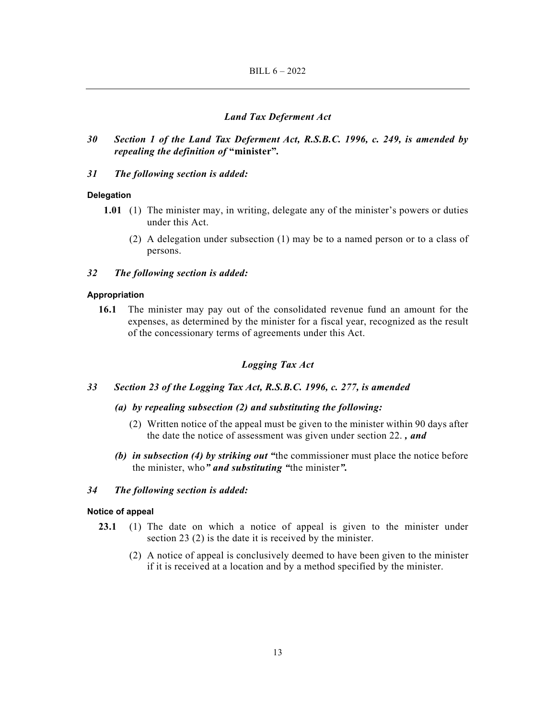# *Land Tax Deferment Act*

*30 Section 1 of the Land Tax Deferment Act, R.S.B.C. 1996, c. 249, is amended by repealing the definition of* **"minister"***.* 

# *31 The following section is added:*

# **Delegation**

- **1.01** (1) The minister may, in writing, delegate any of the minister's powers or duties under this Act.
	- (2) A delegation under subsection (1) may be to a named person or to a class of persons.

#### *32 The following section is added:*

# **Appropriation**

**16.1** The minister may pay out of the consolidated revenue fund an amount for the expenses, as determined by the minister for a fiscal year, recognized as the result of the concessionary terms of agreements under this Act.

# *Logging Tax Act*

- *33 Section 23 of the Logging Tax Act, R.S.B.C. 1996, c. 277, is amended* 
	- *(a) by repealing subsection (2) and substituting the following:* 
		- (2) Written notice of the appeal must be given to the minister within 90 days after the date the notice of assessment was given under section 22. *, and*
	- *(b) in subsection (4) by striking out "*the commissioner must place the notice before the minister, who*" and substituting "*the minister*".*

# *34 The following section is added:*

### **Notice of appeal**

- **23.1** (1) The date on which a notice of appeal is given to the minister under section 23 (2) is the date it is received by the minister.
	- (2) A notice of appeal is conclusively deemed to have been given to the minister if it is received at a location and by a method specified by the minister.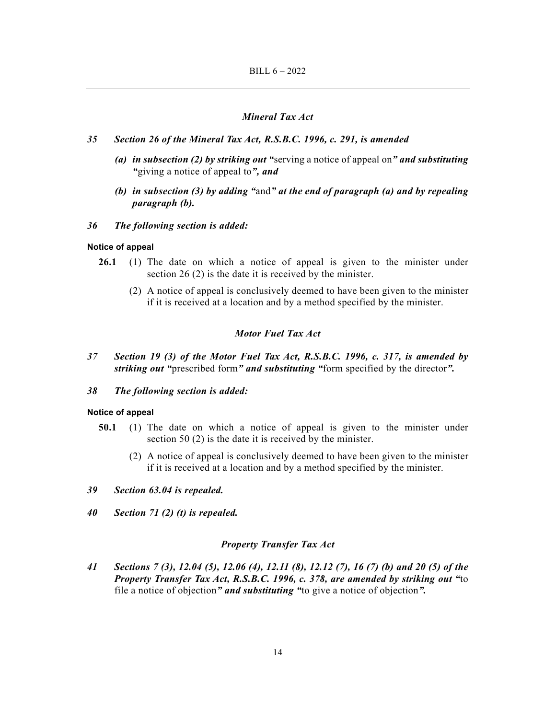# *Mineral Tax Act*

- *35 Section 26 of the Mineral Tax Act, R.S.B.C. 1996, c. 291, is amended* 
	- *(a) in subsection (2) by striking out "*serving a notice of appeal on*" and substituting "*giving a notice of appeal to*", and*
	- *(b) in subsection (3) by adding "*and*" at the end of paragraph (a) and by repealing paragraph (b).*

# *36 The following section is added:*

# **Notice of appeal**

- **26.1** (1) The date on which a notice of appeal is given to the minister under section 26 (2) is the date it is received by the minister.
	- (2) A notice of appeal is conclusively deemed to have been given to the minister if it is received at a location and by a method specified by the minister.

# *Motor Fuel Tax Act*

*37 Section 19 (3) of the Motor Fuel Tax Act, R.S.B.C. 1996, c. 317, is amended by striking out "*prescribed form*" and substituting "*form specified by the director*".* 

# *38 The following section is added:*

### **Notice of appeal**

- **50.1** (1) The date on which a notice of appeal is given to the minister under section 50 (2) is the date it is received by the minister.
	- (2) A notice of appeal is conclusively deemed to have been given to the minister if it is received at a location and by a method specified by the minister.
- *39 Section 63.04 is repealed.*
- *40 Section 71 (2) (t) is repealed.*

# *Property Transfer Tax Act*

*41 Sections 7 (3), 12.04 (5), 12.06 (4), 12.11 (8), 12.12 (7), 16 (7) (b) and 20 (5) of the Property Transfer Tax Act, R.S.B.C. 1996, c. 378, are amended by striking out "*to file a notice of objection*" and substituting "*to give a notice of objection*".*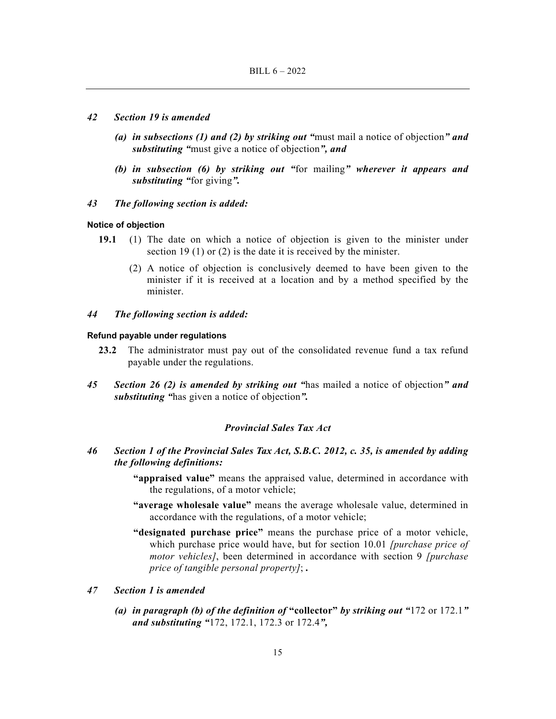#### *42 Section 19 is amended*

- *(a) in subsections (1) and (2) by striking out "*must mail a notice of objection*" and substituting "*must give a notice of objection*", and*
- *(b) in subsection (6) by striking out "*for mailing*" wherever it appears and substituting "*for giving*".*
- *43 The following section is added:*

#### **Notice of objection**

- **19.1** (1) The date on which a notice of objection is given to the minister under section 19 (1) or (2) is the date it is received by the minister.
	- (2) A notice of objection is conclusively deemed to have been given to the minister if it is received at a location and by a method specified by the minister.
- *44 The following section is added:*

#### **Refund payable under regulations**

- **23.2** The administrator must pay out of the consolidated revenue fund a tax refund payable under the regulations.
- *45 Section 26 (2) is amended by striking out "*has mailed a notice of objection*" and substituting "*has given a notice of objection*".*

# *Provincial Sales Tax Act*

- *46 Section 1 of the Provincial Sales Tax Act, S.B.C. 2012, c. 35, is amended by adding the following definitions:* 
	- **"appraised value"** means the appraised value, determined in accordance with the regulations, of a motor vehicle;
	- **"average wholesale value"** means the average wholesale value, determined in accordance with the regulations, of a motor vehicle;
	- **"designated purchase price"** means the purchase price of a motor vehicle, which purchase price would have, but for section 10.01 *[purchase price of motor vehicles]*, been determined in accordance with section 9 *[purchase price of tangible personal property]*; *.*

# *47 Section 1 is amended*

 *(a) in paragraph (b) of the definition of* **"collector"** *by striking out "*172 or 172.1*" and substituting "*172, 172.1, 172.3 or 172.4*",*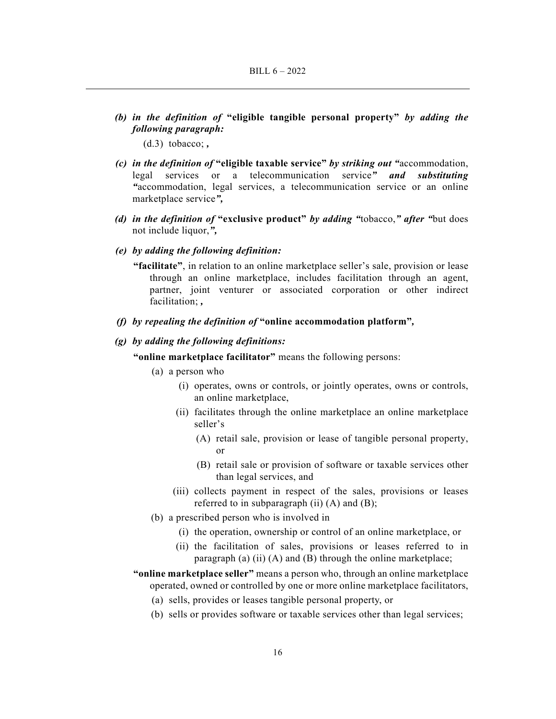*(b) in the definition of* **"eligible tangible personal property"** *by adding the following paragraph:* 

(d.3) tobacco; *,*

- *(c) in the definition of* **"eligible taxable service"** *by striking out "*accommodation, legal services or a telecommunication service*" and substituting "*accommodation, legal services, a telecommunication service or an online marketplace service*",*
- *(d) in the definition of* **"exclusive product"** *by adding "*tobacco,*" after "*but does not include liquor,*",*
- *(e) by adding the following definition:*

**"facilitate"**, in relation to an online marketplace seller's sale, provision or lease through an online marketplace, includes facilitation through an agent, partner, joint venturer or associated corporation or other indirect facilitation; *,*

 *(f) by repealing the definition of* **"online accommodation platform"***,* 

# *(g) by adding the following definitions:*

**"online marketplace facilitator"** means the following persons:

- (a) a person who
	- (i) operates, owns or controls, or jointly operates, owns or controls, an online marketplace,
	- (ii) facilitates through the online marketplace an online marketplace seller's
		- (A) retail sale, provision or lease of tangible personal property, or
		- (B) retail sale or provision of software or taxable services other than legal services, and
	- (iii) collects payment in respect of the sales, provisions or leases referred to in subparagraph (ii)  $(A)$  and  $(B)$ ;
- (b) a prescribed person who is involved in
	- (i) the operation, ownership or control of an online marketplace, or
	- (ii) the facilitation of sales, provisions or leases referred to in paragraph (a)  $(ii)$  (A) and (B) through the online marketplace;
- **"online marketplace seller"** means a person who, through an online marketplace operated, owned or controlled by one or more online marketplace facilitators,
	- (a) sells, provides or leases tangible personal property, or
	- (b) sells or provides software or taxable services other than legal services;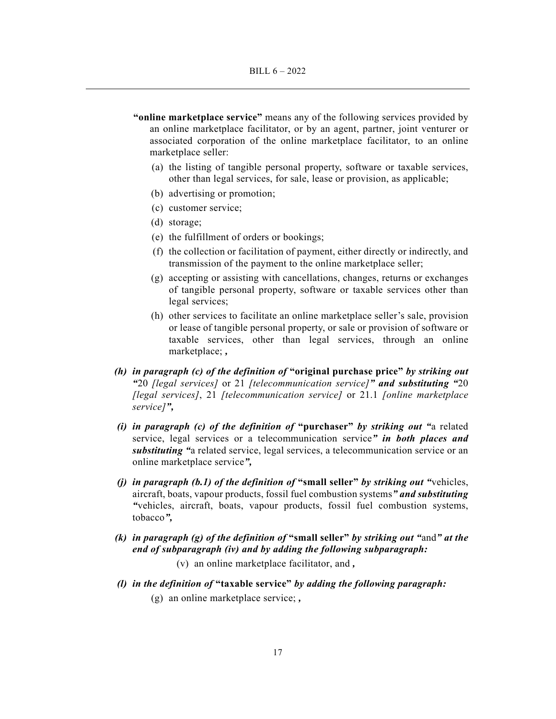- **"online marketplace service"** means any of the following services provided by an online marketplace facilitator, or by an agent, partner, joint venturer or associated corporation of the online marketplace facilitator, to an online marketplace seller:
	- (a) the listing of tangible personal property, software or taxable services, other than legal services, for sale, lease or provision, as applicable;
	- (b) advertising or promotion;
	- (c) customer service;
	- (d) storage;
	- (e) the fulfillment of orders or bookings;
	- (f) the collection or facilitation of payment, either directly or indirectly, and transmission of the payment to the online marketplace seller;
	- (g) accepting or assisting with cancellations, changes, returns or exchanges of tangible personal property, software or taxable services other than legal services;
	- (h) other services to facilitate an online marketplace seller's sale, provision or lease of tangible personal property, or sale or provision of software or taxable services, other than legal services, through an online marketplace; *,*
- *(h) in paragraph (c) of the definition of* **"original purchase price"** *by striking out "*20 *[legal services]* or 21 *[telecommunication service]" and substituting "*20 *[legal services]*, 21 *[telecommunication service]* or 21.1 *[online marketplace service]",*
- *(i) in paragraph (c) of the definition of* **"purchaser"** *by striking out "*a related service, legal services or a telecommunication service*" in both places and substituting "*a related service, legal services, a telecommunication service or an online marketplace service*",*
- *(j) in paragraph (b.1) of the definition of* **"small seller"** *by striking out "*vehicles, aircraft, boats, vapour products, fossil fuel combustion systems*" and substituting "*vehicles, aircraft, boats, vapour products, fossil fuel combustion systems, tobacco*",*
- *(k) in paragraph (g) of the definition of* **"small seller"** *by striking out "*and*" at the end of subparagraph (iv) and by adding the following subparagraph:* 
	- (v) an online marketplace facilitator, and *,*
- *(l) in the definition of* **"taxable service"** *by adding the following paragraph:*  (g) an online marketplace service; *,*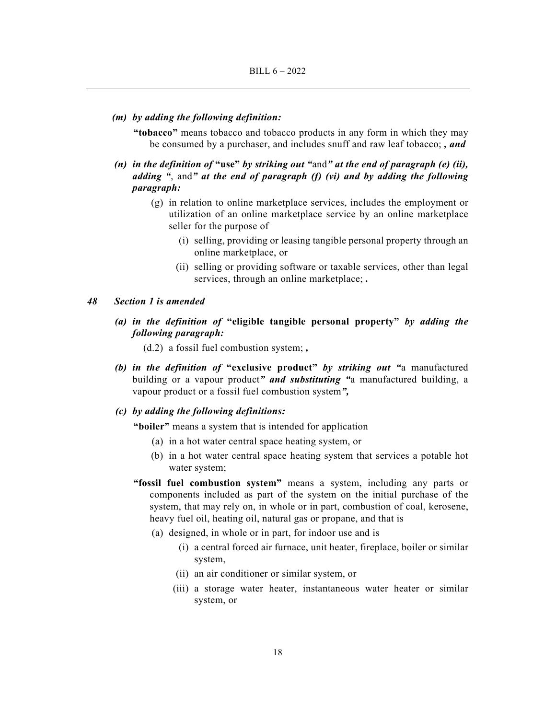#### *(m) by adding the following definition:*

**"tobacco"** means tobacco and tobacco products in any form in which they may be consumed by a purchaser, and includes snuff and raw leaf tobacco; *, and*

- *(n) in the definition of* **"use"** *by striking out "*and*" at the end of paragraph (e) (ii), adding "*, and*" at the end of paragraph (f) (vi) and by adding the following paragraph:* 
	- (g) in relation to online marketplace services, includes the employment or utilization of an online marketplace service by an online marketplace seller for the purpose of
		- (i) selling, providing or leasing tangible personal property through an online marketplace, or
		- (ii) selling or providing software or taxable services, other than legal services, through an online marketplace; *.*

# *48 Section 1 is amended*

 *(a) in the definition of* **"eligible tangible personal property"** *by adding the following paragraph:* 

(d.2) a fossil fuel combustion system; *,*

 *(b) in the definition of* **"exclusive product"** *by striking out "*a manufactured building or a vapour product*" and substituting "*a manufactured building, a vapour product or a fossil fuel combustion system*",* 

# *(c) by adding the following definitions:*

**"boiler"** means a system that is intended for application

- (a) in a hot water central space heating system, or
- (b) in a hot water central space heating system that services a potable hot water system;
- **"fossil fuel combustion system"** means a system, including any parts or components included as part of the system on the initial purchase of the system, that may rely on, in whole or in part, combustion of coal, kerosene, heavy fuel oil, heating oil, natural gas or propane, and that is
	- (a) designed, in whole or in part, for indoor use and is
		- (i) a central forced air furnace, unit heater, fireplace, boiler or similar system,
		- (ii) an air conditioner or similar system, or
		- (iii) a storage water heater, instantaneous water heater or similar system, or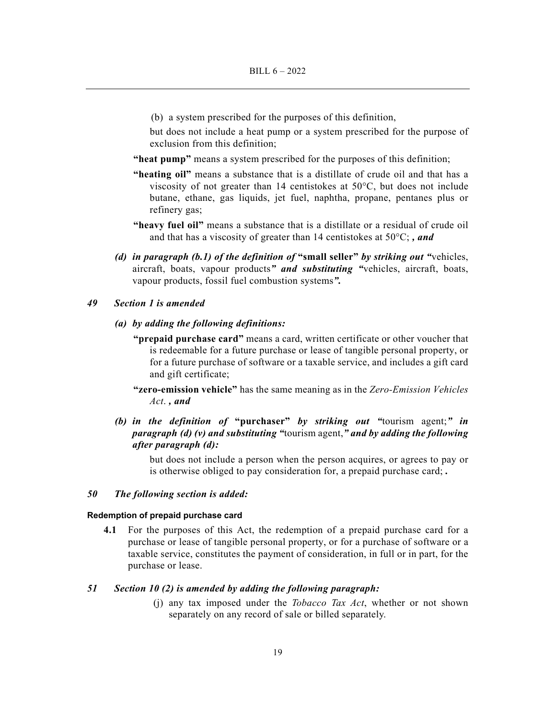(b) a system prescribed for the purposes of this definition,

but does not include a heat pump or a system prescribed for the purpose of exclusion from this definition;

- **"heat pump"** means a system prescribed for the purposes of this definition;
- **"heating oil"** means a substance that is a distillate of crude oil and that has a viscosity of not greater than 14 centistokes at 50°C, but does not include butane, ethane, gas liquids, jet fuel, naphtha, propane, pentanes plus or refinery gas;
- **"heavy fuel oil"** means a substance that is a distillate or a residual of crude oil and that has a viscosity of greater than 14 centistokes at 50°C; *, and*
- *(d) in paragraph (b.1) of the definition of* **"small seller"** *by striking out "*vehicles, aircraft, boats, vapour products*" and substituting "*vehicles, aircraft, boats, vapour products, fossil fuel combustion systems*".*

#### *49 Section 1 is amended*

- *(a) by adding the following definitions:* 
	- **"prepaid purchase card"** means a card, written certificate or other voucher that is redeemable for a future purchase or lease of tangible personal property, or for a future purchase of software or a taxable service, and includes a gift card and gift certificate;
	- **"zero-emission vehicle"** has the same meaning as in the *Zero-Emission Vehicles Act*. *, and*
- *(b) in the definition of* **"purchaser"** *by striking out "*tourism agent;*" in paragraph (d) (v) and substituting "*tourism agent,*" and by adding the following after paragraph (d):*

but does not include a person when the person acquires, or agrees to pay or is otherwise obliged to pay consideration for, a prepaid purchase card; *.* 

# *50 The following section is added:*

#### **Redemption of prepaid purchase card**

**4.1** For the purposes of this Act, the redemption of a prepaid purchase card for a purchase or lease of tangible personal property, or for a purchase of software or a taxable service, constitutes the payment of consideration, in full or in part, for the purchase or lease.

# *51 Section 10 (2) is amended by adding the following paragraph:*

 (j) any tax imposed under the *Tobacco Tax Act*, whether or not shown separately on any record of sale or billed separately.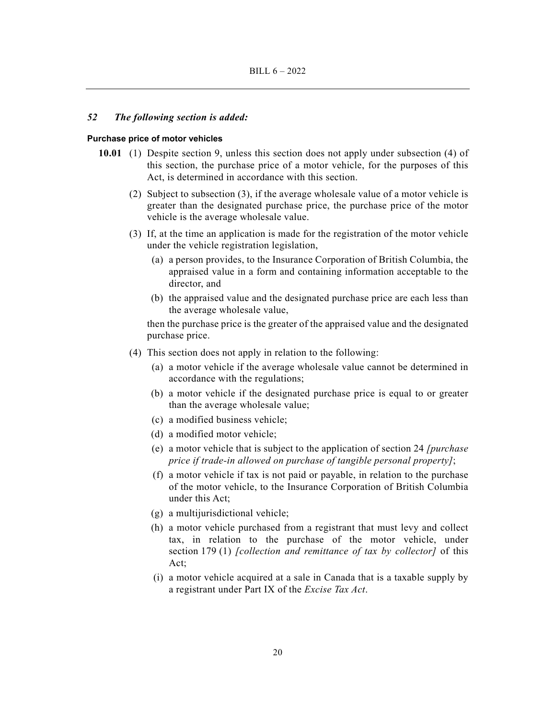### *52 The following section is added:*

#### **Purchase price of motor vehicles**

- **10.01** (1) Despite section 9, unless this section does not apply under subsection (4) of this section, the purchase price of a motor vehicle, for the purposes of this Act, is determined in accordance with this section.
	- (2) Subject to subsection (3), if the average wholesale value of a motor vehicle is greater than the designated purchase price, the purchase price of the motor vehicle is the average wholesale value.
	- (3) If, at the time an application is made for the registration of the motor vehicle under the vehicle registration legislation,
		- (a) a person provides, to the Insurance Corporation of British Columbia, the appraised value in a form and containing information acceptable to the director, and
		- (b) the appraised value and the designated purchase price are each less than the average wholesale value,

then the purchase price is the greater of the appraised value and the designated purchase price.

- (4) This section does not apply in relation to the following:
	- (a) a motor vehicle if the average wholesale value cannot be determined in accordance with the regulations;
	- (b) a motor vehicle if the designated purchase price is equal to or greater than the average wholesale value;
	- (c) a modified business vehicle;
	- (d) a modified motor vehicle;
	- (e) a motor vehicle that is subject to the application of section 24 *[purchase price if trade-in allowed on purchase of tangible personal property]*;
	- (f) a motor vehicle if tax is not paid or payable, in relation to the purchase of the motor vehicle, to the Insurance Corporation of British Columbia under this Act;
	- (g) a multijurisdictional vehicle;
	- (h) a motor vehicle purchased from a registrant that must levy and collect tax, in relation to the purchase of the motor vehicle, under section 179 (1) *[collection and remittance of tax by collector]* of this Act;
	- (i) a motor vehicle acquired at a sale in Canada that is a taxable supply by a registrant under Part IX of the *Excise Tax Act*.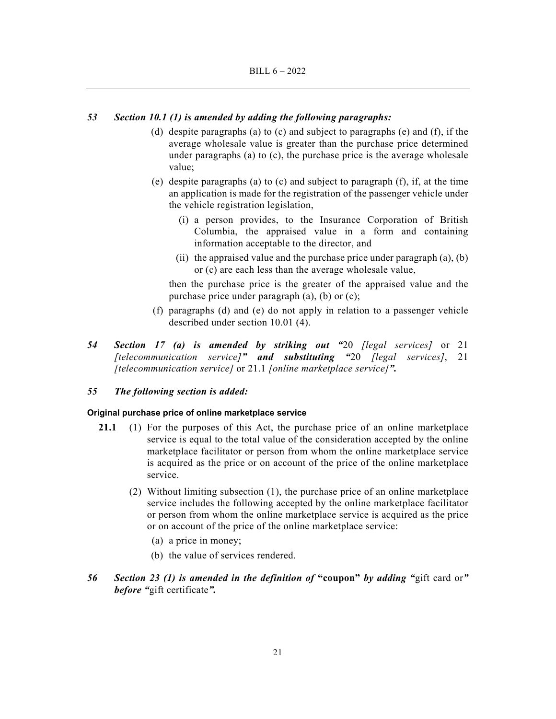# *53 Section 10.1 (1) is amended by adding the following paragraphs:*

- (d) despite paragraphs (a) to (c) and subject to paragraphs (e) and (f), if the average wholesale value is greater than the purchase price determined under paragraphs (a) to (c), the purchase price is the average wholesale value;
- (e) despite paragraphs (a) to (c) and subject to paragraph  $(f)$ , if, at the time an application is made for the registration of the passenger vehicle under the vehicle registration legislation,
	- (i) a person provides, to the Insurance Corporation of British Columbia, the appraised value in a form and containing information acceptable to the director, and
	- (ii) the appraised value and the purchase price under paragraph  $(a)$ ,  $(b)$ or (c) are each less than the average wholesale value,

then the purchase price is the greater of the appraised value and the purchase price under paragraph (a), (b) or (c);

- (f) paragraphs (d) and (e) do not apply in relation to a passenger vehicle described under section 10.01 (4).
- *54 Section 17 (a) is amended by striking out "*20 *[legal services]* or 21 *[telecommunication service]" and substituting "*20 *[legal services]*, 21 *[telecommunication service]* or 21.1 *[online marketplace service]".*

# *55 The following section is added:*

#### **Original purchase price of online marketplace service**

- **21.1** (1) For the purposes of this Act, the purchase price of an online marketplace service is equal to the total value of the consideration accepted by the online marketplace facilitator or person from whom the online marketplace service is acquired as the price or on account of the price of the online marketplace service.
	- (2) Without limiting subsection (1), the purchase price of an online marketplace service includes the following accepted by the online marketplace facilitator or person from whom the online marketplace service is acquired as the price or on account of the price of the online marketplace service:
		- (a) a price in money;
		- (b) the value of services rendered.
- *56 Section 23 (1) is amended in the definition of* **"coupon"** *by adding "*gift card or*" before "*gift certificate*".*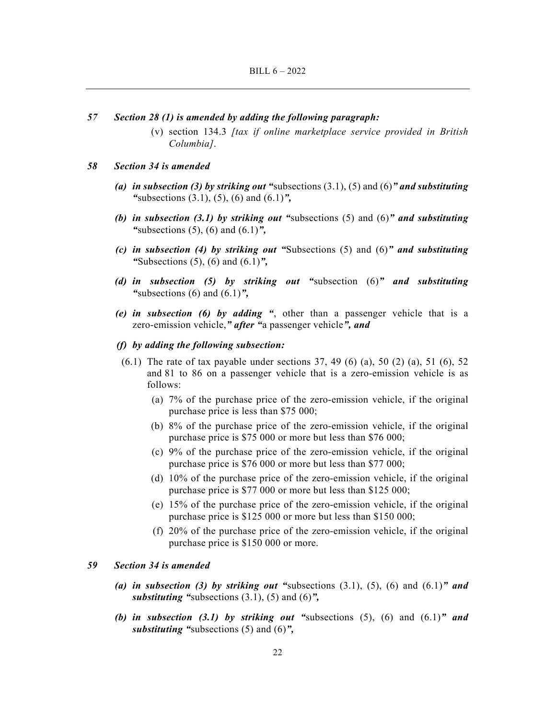- *57 Section 28 (1) is amended by adding the following paragraph:* 
	- (v) section 134.3 *[tax if online marketplace service provided in British Columbia]*.

#### *58 Section 34 is amended*

- *(a) in subsection (3) by striking out "*subsections (3.1), (5) and (6)*" and substituting "*subsections (3.1), (5), (6) and (6.1)*",*
- *(b) in subsection (3.1) by striking out "*subsections (5) and (6)*" and substituting "*subsections (5), (6) and (6.1)*",*
- *(c) in subsection (4) by striking out "*Subsections (5) and (6)*" and substituting "*Subsections (5), (6) and (6.1)*",*
- *(d) in subsection (5) by striking out "*subsection (6)*" and substituting "*subsections (6) and (6.1)*",*
- *(e) in subsection (6) by adding "*, other than a passenger vehicle that is a zero-emission vehicle,*" after "*a passenger vehicle*", and*
- *(f) by adding the following subsection:*
- $(6.1)$  The rate of tax payable under sections 37, 49  $(6)$  (a), 50  $(2)$  (a), 51  $(6)$ , 52 and 81 to 86 on a passenger vehicle that is a zero-emission vehicle is as follows:
	- (a) 7% of the purchase price of the zero-emission vehicle, if the original purchase price is less than \$75 000;
	- (b) 8% of the purchase price of the zero-emission vehicle, if the original purchase price is \$75 000 or more but less than \$76 000;
	- (c) 9% of the purchase price of the zero-emission vehicle, if the original purchase price is \$76 000 or more but less than \$77 000;
	- (d) 10% of the purchase price of the zero-emission vehicle, if the original purchase price is \$77 000 or more but less than \$125 000;
	- (e) 15% of the purchase price of the zero-emission vehicle, if the original purchase price is \$125 000 or more but less than \$150 000;
	- (f) 20% of the purchase price of the zero-emission vehicle, if the original purchase price is \$150 000 or more.

# *59 Section 34 is amended*

- *(a) in subsection (3) by striking out "*subsections (3.1), (5), (6) and (6.1)*" and substituting "*subsections (3.1), (5) and (6)*",*
- **(b) in subsection (3.1) by striking out "subsections (5), (6) and**  $(6.1)$ **" and** *substituting "*subsections (5) and (6)*",*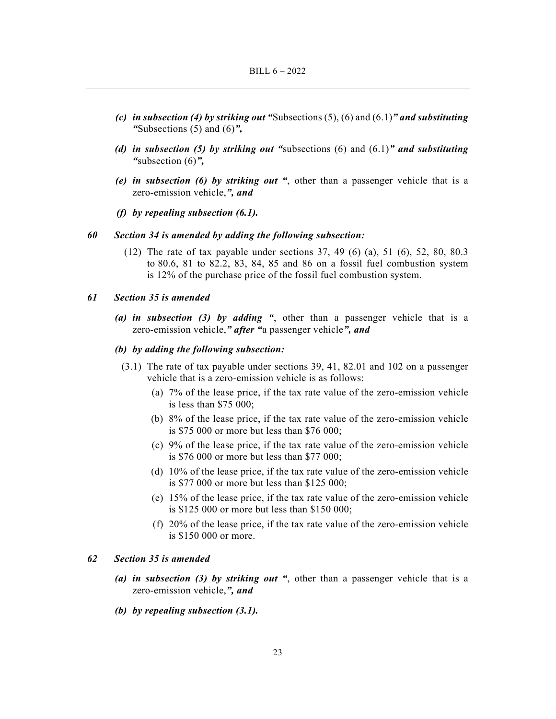- *(c) in subsection (4) by striking out "*Subsections (5), (6) and (6.1)*" and substituting "*Subsections (5) and (6)*",*
- *(d) in subsection (5) by striking out "*subsections (6) and (6.1)*" and substituting "*subsection (6)*",*
- *(e) in subsection (6) by striking out "*, other than a passenger vehicle that is a zero-emission vehicle,*", and*
- *(f) by repealing subsection (6.1).*

### *60 Section 34 is amended by adding the following subsection:*

 (12) The rate of tax payable under sections 37, 49 (6) (a), 51 (6), 52, 80, 80.3 to 80.6, 81 to 82.2, 83, 84, 85 and 86 on a fossil fuel combustion system is 12% of the purchase price of the fossil fuel combustion system.

# *61 Section 35 is amended*

 *(a) in subsection (3) by adding "*, other than a passenger vehicle that is a zero-emission vehicle,*" after "*a passenger vehicle*", and* 

# *(b) by adding the following subsection:*

- (3.1) The rate of tax payable under sections 39, 41, 82.01 and 102 on a passenger vehicle that is a zero-emission vehicle is as follows:
	- (a) 7% of the lease price, if the tax rate value of the zero-emission vehicle is less than \$75 000;
	- (b) 8% of the lease price, if the tax rate value of the zero-emission vehicle is \$75 000 or more but less than \$76 000;
	- (c) 9% of the lease price, if the tax rate value of the zero-emission vehicle is \$76 000 or more but less than \$77 000;
	- (d) 10% of the lease price, if the tax rate value of the zero-emission vehicle is \$77 000 or more but less than \$125 000;
	- (e) 15% of the lease price, if the tax rate value of the zero-emission vehicle is \$125 000 or more but less than \$150 000;
	- (f) 20% of the lease price, if the tax rate value of the zero-emission vehicle is \$150 000 or more.

# *62 Section 35 is amended*

- *(a) in subsection (3) by striking out "*, other than a passenger vehicle that is a zero-emission vehicle,*", and*
- *(b) by repealing subsection (3.1).*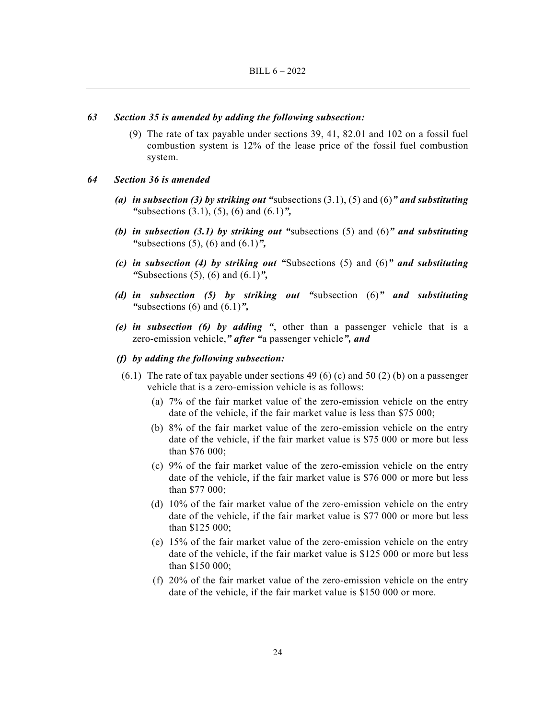#### *63 Section 35 is amended by adding the following subsection:*

 (9) The rate of tax payable under sections 39, 41, 82.01 and 102 on a fossil fuel combustion system is 12% of the lease price of the fossil fuel combustion system.

#### *64 Section 36 is amended*

- *(a) in subsection (3) by striking out "*subsections (3.1), (5) and (6)*" and substituting "*subsections (3.1), (5), (6) and (6.1)*",*
- *(b) in subsection (3.1) by striking out "*subsections (5) and (6)*" and substituting "*subsections (5), (6) and (6.1)*",*
- *(c) in subsection (4) by striking out "*Subsections (5) and (6)*" and substituting "*Subsections (5), (6) and (6.1)*",*
- *(d) in subsection (5) by striking out "*subsection (6)*" and substituting "*subsections (6) and (6.1)*",*
- *(e) in subsection (6) by adding "*, other than a passenger vehicle that is a zero-emission vehicle,*" after "*a passenger vehicle*", and*

# *(f) by adding the following subsection:*

- $(6.1)$  The rate of tax payable under sections 49 (6) (c) and 50 (2) (b) on a passenger vehicle that is a zero-emission vehicle is as follows:
	- (a) 7% of the fair market value of the zero-emission vehicle on the entry date of the vehicle, if the fair market value is less than \$75 000;
	- (b) 8% of the fair market value of the zero-emission vehicle on the entry date of the vehicle, if the fair market value is \$75 000 or more but less than \$76 000;
	- (c) 9% of the fair market value of the zero-emission vehicle on the entry date of the vehicle, if the fair market value is \$76 000 or more but less than \$77 000;
	- (d) 10% of the fair market value of the zero-emission vehicle on the entry date of the vehicle, if the fair market value is \$77 000 or more but less than \$125 000;
	- (e) 15% of the fair market value of the zero-emission vehicle on the entry date of the vehicle, if the fair market value is \$125 000 or more but less than \$150 000;
	- (f) 20% of the fair market value of the zero-emission vehicle on the entry date of the vehicle, if the fair market value is \$150 000 or more.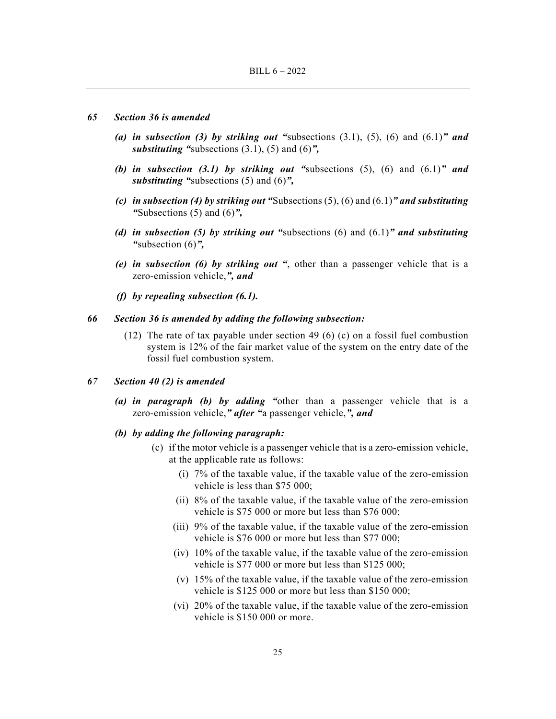#### *65 Section 36 is amended*

- *(a) in subsection (3) by striking out "*subsections (3.1), (5), (6) and (6.1)*" and substituting "*subsections (3.1), (5) and (6)*",*
- *(b) in subsection (3.1) by striking out "*subsections (5), (6) and (6.1)*" and substituting "*subsections (5) and (6)*",*
- *(c) in subsection (4) by striking out "*Subsections (5), (6) and (6.1)*" and substituting "*Subsections (5) and (6)*",*
- *(d) in subsection (5) by striking out "*subsections (6) and (6.1)*" and substituting "*subsection (6)*",*
- *(e) in subsection (6) by striking out "*, other than a passenger vehicle that is a zero-emission vehicle,*", and*
- *(f) by repealing subsection (6.1).*

# *66 Section 36 is amended by adding the following subsection:*

(12) The rate of tax payable under section 49 (6) (c) on a fossil fuel combustion system is 12% of the fair market value of the system on the entry date of the fossil fuel combustion system.

# *67 Section 40 (2) is amended*

- *(a) in paragraph (b) by adding "*other than a passenger vehicle that is a zero-emission vehicle,*" after "*a passenger vehicle,*", and*
- *(b) by adding the following paragraph:* 
	- (c) if the motor vehicle is a passenger vehicle that is a zero-emission vehicle, at the applicable rate as follows:
		- (i) 7% of the taxable value, if the taxable value of the zero-emission vehicle is less than \$75 000;
		- (ii) 8% of the taxable value, if the taxable value of the zero-emission vehicle is \$75 000 or more but less than \$76 000;
		- (iii) 9% of the taxable value, if the taxable value of the zero-emission vehicle is \$76 000 or more but less than \$77 000;
		- (iv) 10% of the taxable value, if the taxable value of the zero-emission vehicle is \$77 000 or more but less than \$125 000;
		- (v) 15% of the taxable value, if the taxable value of the zero-emission vehicle is \$125 000 or more but less than \$150 000;
		- (vi) 20% of the taxable value, if the taxable value of the zero-emission vehicle is \$150 000 or more.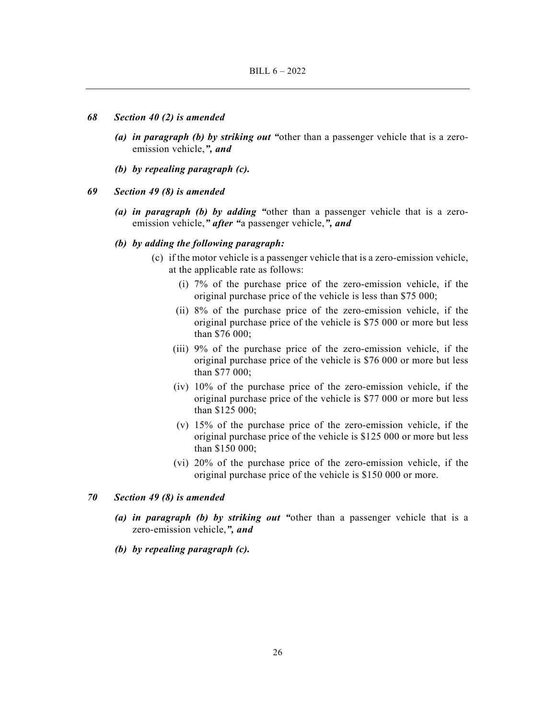#### *68 Section 40 (2) is amended*

- *(a) in paragraph (b) by striking out "*other than a passenger vehicle that is a zeroemission vehicle,*", and*
- *(b) by repealing paragraph (c).*
- *69 Section 49 (8) is amended* 
	- *(a) in paragraph (b) by adding "*other than a passenger vehicle that is a zeroemission vehicle,*" after "*a passenger vehicle,*", and*

#### *(b) by adding the following paragraph:*

- (c) if the motor vehicle is a passenger vehicle that is a zero-emission vehicle, at the applicable rate as follows:
	- (i) 7% of the purchase price of the zero-emission vehicle, if the original purchase price of the vehicle is less than \$75 000;
	- (ii) 8% of the purchase price of the zero-emission vehicle, if the original purchase price of the vehicle is \$75 000 or more but less than \$76 000;
	- (iii) 9% of the purchase price of the zero-emission vehicle, if the original purchase price of the vehicle is \$76 000 or more but less than \$77 000;
	- (iv) 10% of the purchase price of the zero-emission vehicle, if the original purchase price of the vehicle is \$77 000 or more but less than \$125 000;
	- (v) 15% of the purchase price of the zero-emission vehicle, if the original purchase price of the vehicle is \$125 000 or more but less than \$150 000;
	- (vi) 20% of the purchase price of the zero-emission vehicle, if the original purchase price of the vehicle is \$150 000 or more.

# *70 Section 49 (8) is amended*

- *(a) in paragraph (b) by striking out "*other than a passenger vehicle that is a zero-emission vehicle,*", and*
- *(b) by repealing paragraph (c).*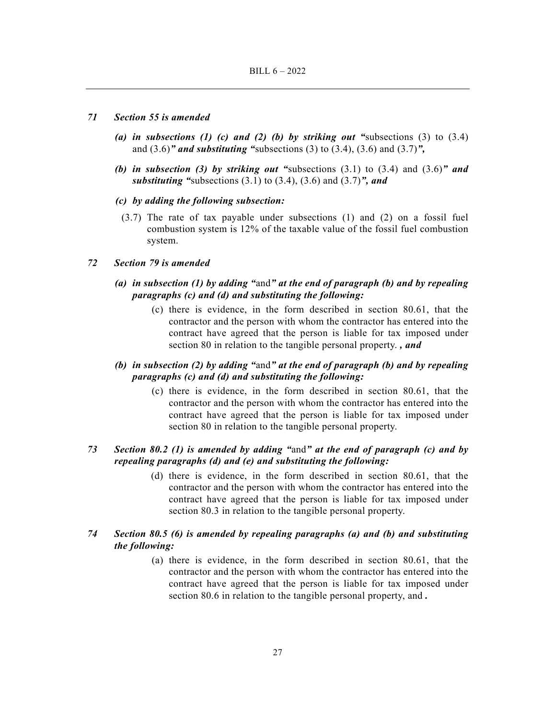#### *71 Section 55 is amended*

- *(a) in subsections (1) (c) and (2) (b) by striking out "*subsections (3) to (3.4) and (3.6)*" and substituting "*subsections (3) to (3.4), (3.6) and (3.7)*",*
- *(b) in subsection (3) by striking out "*subsections (3.1) to (3.4) and (3.6)*" and substituting "*subsections (3.1) to (3.4), (3.6) and (3.7)*", and*
- *(c) by adding the following subsection:* 
	- (3.7) The rate of tax payable under subsections (1) and (2) on a fossil fuel combustion system is 12% of the taxable value of the fossil fuel combustion system.

# *72 Section 79 is amended*

- *(a) in subsection (1) by adding "*and*" at the end of paragraph (b) and by repealing paragraphs (c) and (d) and substituting the following:* 
	- (c) there is evidence, in the form described in section 80.61, that the contractor and the person with whom the contractor has entered into the contract have agreed that the person is liable for tax imposed under section 80 in relation to the tangible personal property. *, and*
- *(b) in subsection (2) by adding "*and*" at the end of paragraph (b) and by repealing paragraphs (c) and (d) and substituting the following:* 
	- (c) there is evidence, in the form described in section 80.61, that the contractor and the person with whom the contractor has entered into the contract have agreed that the person is liable for tax imposed under section 80 in relation to the tangible personal property.

# *73 Section 80.2 (1) is amended by adding "*and*" at the end of paragraph (c) and by repealing paragraphs (d) and (e) and substituting the following:*

 (d) there is evidence, in the form described in section 80.61, that the contractor and the person with whom the contractor has entered into the contract have agreed that the person is liable for tax imposed under section 80.3 in relation to the tangible personal property.

# *74 Section 80.5 (6) is amended by repealing paragraphs (a) and (b) and substituting the following:*

 (a) there is evidence, in the form described in section 80.61, that the contractor and the person with whom the contractor has entered into the contract have agreed that the person is liable for tax imposed under section 80.6 in relation to the tangible personal property, and *.*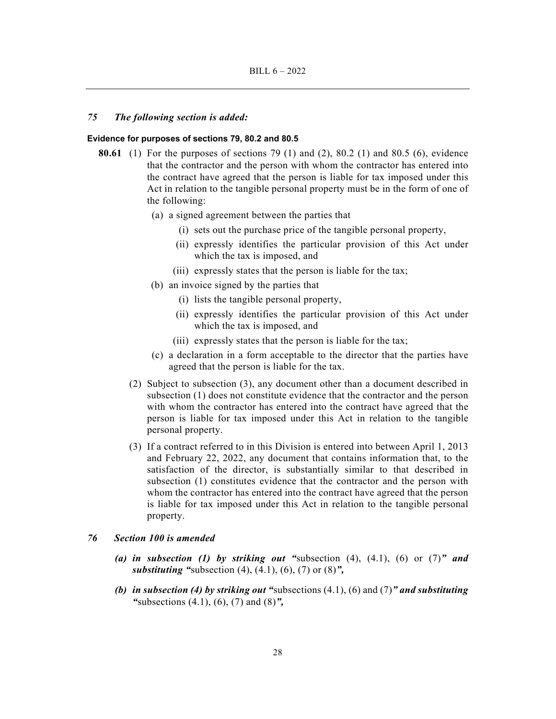### *75 The following section is added:*

### **Evidence for purposes of sections 79, 80.2 and 80.5**

- **80.61** (1) For the purposes of sections 79 (1) and (2), 80.2 (1) and 80.5 (6), evidence that the contractor and the person with whom the contractor has entered into the contract have agreed that the person is liable for tax imposed under this Act in relation to the tangible personal property must be in the form of one of the following:
	- (a) a signed agreement between the parties that
		- (i) sets out the purchase price of the tangible personal property,
		- (ii) expressly identifies the particular provision of this Act under which the tax is imposed, and
		- (iii) expressly states that the person is liable for the tax;
	- (b) an invoice signed by the parties that
		- (i) lists the tangible personal property,
		- (ii) expressly identifies the particular provision of this Act under which the tax is imposed, and
		- (iii) expressly states that the person is liable for the tax;
	- (c) a declaration in a form acceptable to the director that the parties have agreed that the person is liable for the tax.
	- (2) Subject to subsection (3), any document other than a document described in subsection (1) does not constitute evidence that the contractor and the person with whom the contractor has entered into the contract have agreed that the person is liable for tax imposed under this Act in relation to the tangible personal property.
	- (3) If a contract referred to in this Division is entered into between April 1, 2013 and February 22, 2022, any document that contains information that, to the satisfaction of the director, is substantially similar to that described in subsection (1) constitutes evidence that the contractor and the person with whom the contractor has entered into the contract have agreed that the person is liable for tax imposed under this Act in relation to the tangible personal property.

# *76 Section 100 is amended*

- *(a) in subsection (1) by striking out "*subsection (4), (4.1), (6) or (7)*" and substituting "*subsection (4), (4.1), (6), (7) or (8)*",*
- *(b) in subsection (4) by striking out "*subsections (4.1), (6) and (7)*" and substituting "*subsections (4.1), (6), (7) and (8)*",*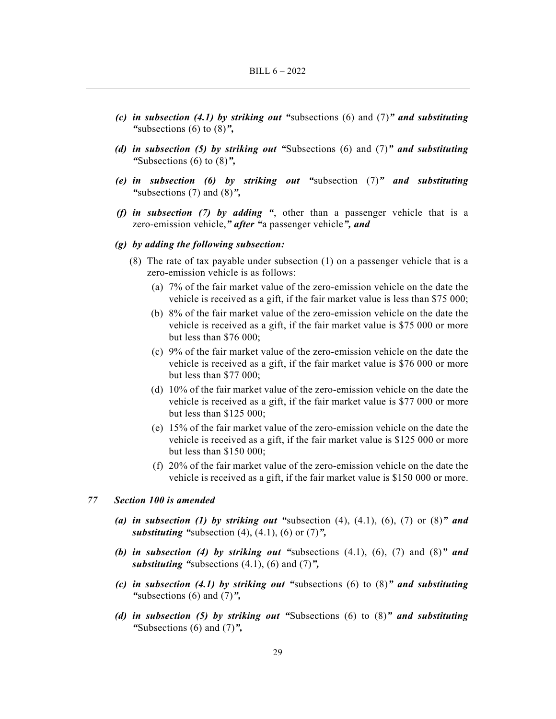- *(c) in subsection (4.1) by striking out "*subsections (6) and (7)*" and substituting "*subsections (6) to (8)*",*
- *(d) in subsection (5) by striking out "*Subsections (6) and (7)*" and substituting "*Subsections (6) to (8)*",*
- *(e) in subsection (6) by striking out "*subsection (7)*" and substituting "*subsections (7) and (8)*",*
- *(f) in subsection (7) by adding "*, other than a passenger vehicle that is a zero-emission vehicle,*" after "*a passenger vehicle*", and*

#### *(g) by adding the following subsection:*

- (8) The rate of tax payable under subsection (1) on a passenger vehicle that is a zero-emission vehicle is as follows:
	- (a) 7% of the fair market value of the zero-emission vehicle on the date the vehicle is received as a gift, if the fair market value is less than \$75 000;
	- (b) 8% of the fair market value of the zero-emission vehicle on the date the vehicle is received as a gift, if the fair market value is \$75 000 or more but less than \$76 000;
	- (c) 9% of the fair market value of the zero-emission vehicle on the date the vehicle is received as a gift, if the fair market value is \$76 000 or more but less than \$77 000;
	- (d) 10% of the fair market value of the zero-emission vehicle on the date the vehicle is received as a gift, if the fair market value is \$77 000 or more but less than \$125 000;
	- (e) 15% of the fair market value of the zero-emission vehicle on the date the vehicle is received as a gift, if the fair market value is \$125 000 or more but less than \$150 000;
	- (f) 20% of the fair market value of the zero-emission vehicle on the date the vehicle is received as a gift, if the fair market value is \$150 000 or more.

### *77 Section 100 is amended*

- (a) in subsection (1) by striking out "subsection  $(4)$ ,  $(4.1)$ ,  $(6)$ ,  $(7)$  or  $(8)$ " and *substituting "*subsection (4), (4.1), (6) or (7)*",*
- *(b) in subsection (4) by striking out "*subsections (4.1), (6), (7) and (8)*" and substituting "*subsections (4.1), (6) and (7)*",*
- *(c) in subsection (4.1) by striking out "*subsections (6) to (8)*" and substituting "*subsections (6) and (7)*",*
- *(d) in subsection (5) by striking out "*Subsections (6) to (8)*" and substituting "*Subsections (6) and (7)*",*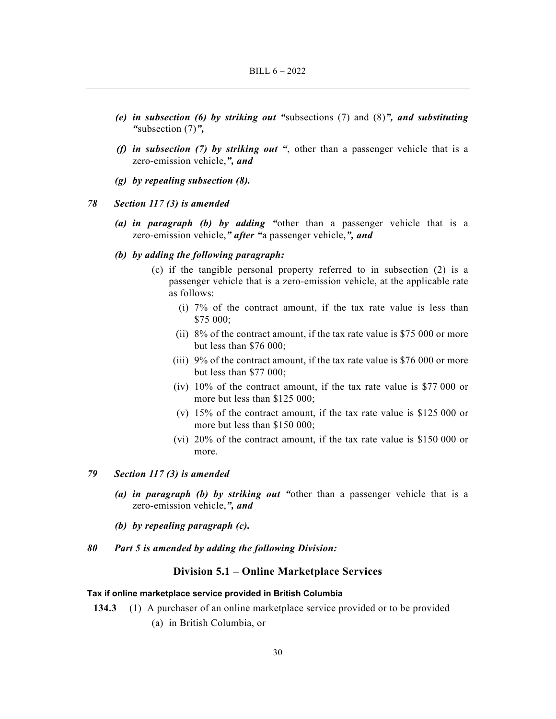- *(e) in subsection (6) by striking out "*subsections (7) and (8)*", and substituting "*subsection (7)*",*
- *(f) in subsection (7) by striking out "*, other than a passenger vehicle that is a zero-emission vehicle,*", and*
- *(g) by repealing subsection (8).*

### *78 Section 117 (3) is amended*

- *(a) in paragraph (b) by adding "*other than a passenger vehicle that is a zero-emission vehicle,*" after "*a passenger vehicle,*", and*
- *(b) by adding the following paragraph:* 
	- (c) if the tangible personal property referred to in subsection (2) is a passenger vehicle that is a zero-emission vehicle, at the applicable rate as follows:
		- (i) 7% of the contract amount, if the tax rate value is less than \$75 000;
		- (ii) 8% of the contract amount, if the tax rate value is \$75 000 or more but less than \$76 000;
		- (iii) 9% of the contract amount, if the tax rate value is \$76 000 or more but less than \$77 000;
		- (iv) 10% of the contract amount, if the tax rate value is \$77 000 or more but less than \$125 000;
		- (v) 15% of the contract amount, if the tax rate value is \$125 000 or more but less than \$150 000;
		- (vi) 20% of the contract amount, if the tax rate value is \$150 000 or more.
- *79 Section 117 (3) is amended* 
	- *(a) in paragraph (b) by striking out "*other than a passenger vehicle that is a zero-emission vehicle,*", and*
	- *(b) by repealing paragraph (c).*
- *80 Part 5 is amended by adding the following Division:*

# **Division 5.1 – Online Marketplace Services**

### **Tax if online marketplace service provided in British Columbia**

**134.3** (1) A purchaser of an online marketplace service provided or to be provided (a) in British Columbia, or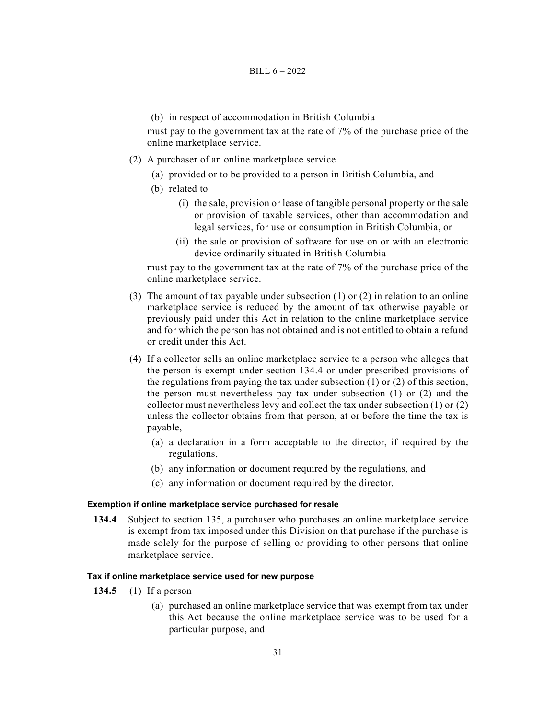(b) in respect of accommodation in British Columbia

must pay to the government tax at the rate of 7% of the purchase price of the online marketplace service.

- (2) A purchaser of an online marketplace service
	- (a) provided or to be provided to a person in British Columbia, and
	- (b) related to
		- (i) the sale, provision or lease of tangible personal property or the sale or provision of taxable services, other than accommodation and legal services, for use or consumption in British Columbia, or
		- (ii) the sale or provision of software for use on or with an electronic device ordinarily situated in British Columbia

must pay to the government tax at the rate of 7% of the purchase price of the online marketplace service.

- (3) The amount of tax payable under subsection (1) or (2) in relation to an online marketplace service is reduced by the amount of tax otherwise payable or previously paid under this Act in relation to the online marketplace service and for which the person has not obtained and is not entitled to obtain a refund or credit under this Act.
- (4) If a collector sells an online marketplace service to a person who alleges that the person is exempt under section 134.4 or under prescribed provisions of the regulations from paying the tax under subsection (1) or (2) of this section, the person must nevertheless pay tax under subsection (1) or (2) and the collector must nevertheless levy and collect the tax under subsection (1) or (2) unless the collector obtains from that person, at or before the time the tax is payable,
	- (a) a declaration in a form acceptable to the director, if required by the regulations,
	- (b) any information or document required by the regulations, and
	- (c) any information or document required by the director.

# **Exemption if online marketplace service purchased for resale**

**134.4** Subject to section 135, a purchaser who purchases an online marketplace service is exempt from tax imposed under this Division on that purchase if the purchase is made solely for the purpose of selling or providing to other persons that online marketplace service.

# **Tax if online marketplace service used for new purpose**

- **134.5** (1) If a person
	- (a) purchased an online marketplace service that was exempt from tax under this Act because the online marketplace service was to be used for a particular purpose, and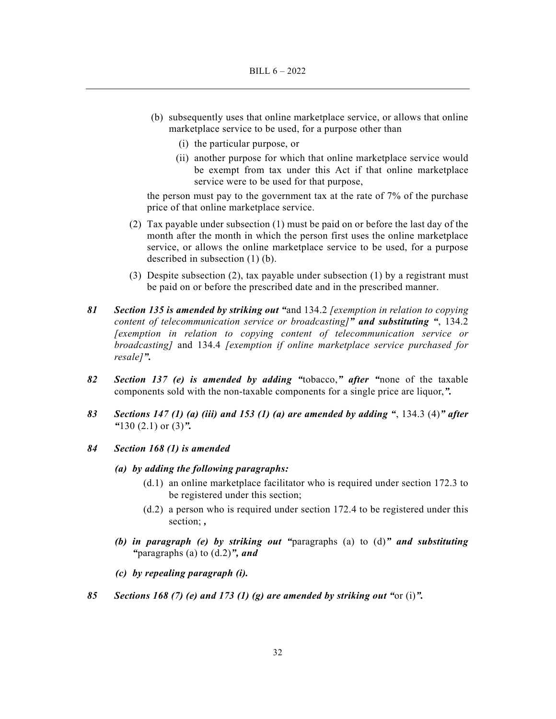- (b) subsequently uses that online marketplace service, or allows that online marketplace service to be used, for a purpose other than
	- (i) the particular purpose, or
	- (ii) another purpose for which that online marketplace service would be exempt from tax under this Act if that online marketplace service were to be used for that purpose,

the person must pay to the government tax at the rate of 7% of the purchase price of that online marketplace service.

- (2) Tax payable under subsection (1) must be paid on or before the last day of the month after the month in which the person first uses the online marketplace service, or allows the online marketplace service to be used, for a purpose described in subsection (1) (b).
- (3) Despite subsection (2), tax payable under subsection (1) by a registrant must be paid on or before the prescribed date and in the prescribed manner.
- *81 Section 135 is amended by striking out "*and 134.2 *[exemption in relation to copying content of telecommunication service or broadcasting]" and substituting "*, 134.2 *[exemption in relation to copying content of telecommunication service or broadcasting]* and 134.4 *[exemption if online marketplace service purchased for resale]".*
- *82 Section 137 (e) is amended by adding "*tobacco,*" after "*none of the taxable components sold with the non-taxable components for a single price are liquor,*".*
- *83 Sections 147 (1) (a) (iii) and 153 (1) (a) are amended by adding "*, 134.3 (4)*" after "*130 (2.1) or (3)*".*
- *84 Section 168 (1) is amended* 
	- *(a) by adding the following paragraphs:* 
		- (d.1) an online marketplace facilitator who is required under section 172.3 to be registered under this section;
		- (d.2) a person who is required under section 172.4 to be registered under this section; *,*
	- *(b) in paragraph (e) by striking out "*paragraphs (a) to (d)*" and substituting "*paragraphs (a) to (d.2)*", and*
	- *(c) by repealing paragraph (i).*
- *85 Sections 168 (7) (e) and 173 (1) (g) are amended by striking out "*or (i)*".*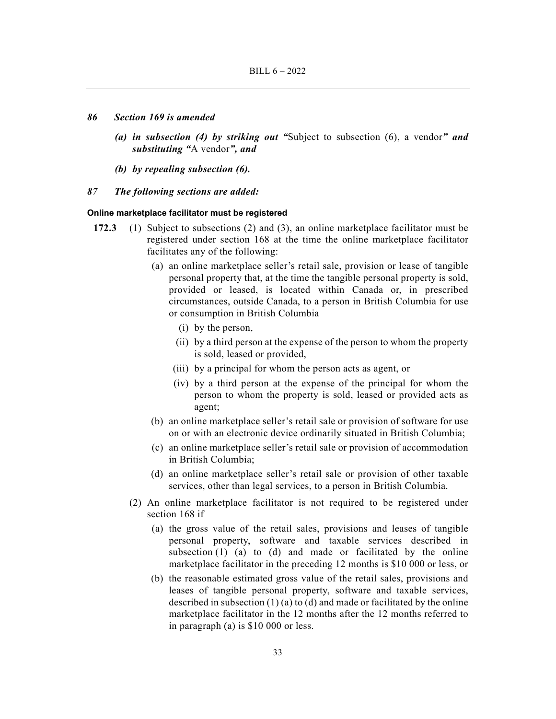#### *86 Section 169 is amended*

- *(a) in subsection (4) by striking out "*Subject to subsection (6), a vendor*" and substituting "*A vendor*", and*
- *(b) by repealing subsection (6).*
- *87 The following sections are added:*

#### **Online marketplace facilitator must be registered**

- **172.3** (1) Subject to subsections (2) and (3), an online marketplace facilitator must be registered under section 168 at the time the online marketplace facilitator facilitates any of the following:
	- (a) an online marketplace seller's retail sale, provision or lease of tangible personal property that, at the time the tangible personal property is sold, provided or leased, is located within Canada or, in prescribed circumstances, outside Canada, to a person in British Columbia for use or consumption in British Columbia
		- (i) by the person,
		- (ii) by a third person at the expense of the person to whom the property is sold, leased or provided,
		- (iii) by a principal for whom the person acts as agent, or
		- (iv) by a third person at the expense of the principal for whom the person to whom the property is sold, leased or provided acts as agent;
	- (b) an online marketplace seller's retail sale or provision of software for use on or with an electronic device ordinarily situated in British Columbia;
	- (c) an online marketplace seller's retail sale or provision of accommodation in British Columbia;
	- (d) an online marketplace seller's retail sale or provision of other taxable services, other than legal services, to a person in British Columbia.
	- (2) An online marketplace facilitator is not required to be registered under section 168 if
		- (a) the gross value of the retail sales, provisions and leases of tangible personal property, software and taxable services described in subsection (1) (a) to (d) and made or facilitated by the online marketplace facilitator in the preceding 12 months is \$10 000 or less, or
		- (b) the reasonable estimated gross value of the retail sales, provisions and leases of tangible personal property, software and taxable services, described in subsection (1) (a) to (d) and made or facilitated by the online marketplace facilitator in the 12 months after the 12 months referred to in paragraph (a) is \$10 000 or less.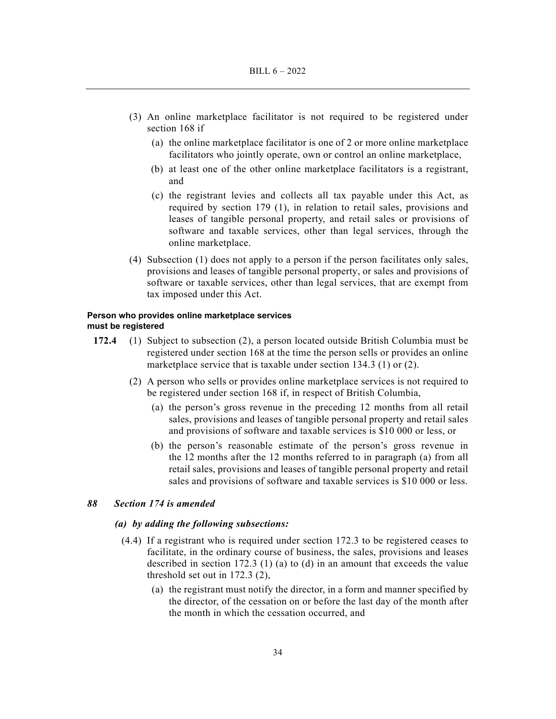- (3) An online marketplace facilitator is not required to be registered under section 168 if
	- (a) the online marketplace facilitator is one of 2 or more online marketplace facilitators who jointly operate, own or control an online marketplace,
	- (b) at least one of the other online marketplace facilitators is a registrant, and
	- (c) the registrant levies and collects all tax payable under this Act, as required by section 179 (1), in relation to retail sales, provisions and leases of tangible personal property, and retail sales or provisions of software and taxable services, other than legal services, through the online marketplace.
- (4) Subsection (1) does not apply to a person if the person facilitates only sales, provisions and leases of tangible personal property, or sales and provisions of software or taxable services, other than legal services, that are exempt from tax imposed under this Act.

#### **Person who provides online marketplace services must be registered**

- **172.4** (1) Subject to subsection (2), a person located outside British Columbia must be registered under section 168 at the time the person sells or provides an online marketplace service that is taxable under section 134.3 (1) or (2).
	- (2) A person who sells or provides online marketplace services is not required to be registered under section 168 if, in respect of British Columbia,
		- (a) the person's gross revenue in the preceding 12 months from all retail sales, provisions and leases of tangible personal property and retail sales and provisions of software and taxable services is \$10 000 or less, or
		- (b) the person's reasonable estimate of the person's gross revenue in the 12 months after the 12 months referred to in paragraph (a) from all retail sales, provisions and leases of tangible personal property and retail sales and provisions of software and taxable services is \$10 000 or less.

# *88 Section 174 is amended*

# *(a) by adding the following subsections:*

- (4.4) If a registrant who is required under section 172.3 to be registered ceases to facilitate, in the ordinary course of business, the sales, provisions and leases described in section 172.3 (1) (a) to (d) in an amount that exceeds the value threshold set out in 172.3 (2),
	- (a) the registrant must notify the director, in a form and manner specified by the director, of the cessation on or before the last day of the month after the month in which the cessation occurred, and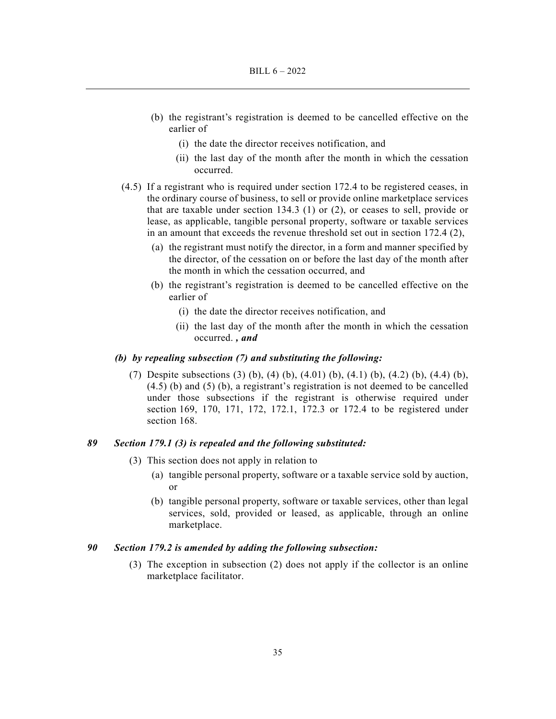- (b) the registrant's registration is deemed to be cancelled effective on the earlier of
	- (i) the date the director receives notification, and
	- (ii) the last day of the month after the month in which the cessation occurred.
- (4.5) If a registrant who is required under section 172.4 to be registered ceases, in the ordinary course of business, to sell or provide online marketplace services that are taxable under section 134.3 (1) or (2), or ceases to sell, provide or lease, as applicable, tangible personal property, software or taxable services in an amount that exceeds the revenue threshold set out in section 172.4 (2),
	- (a) the registrant must notify the director, in a form and manner specified by the director, of the cessation on or before the last day of the month after the month in which the cessation occurred, and
	- (b) the registrant's registration is deemed to be cancelled effective on the earlier of
		- (i) the date the director receives notification, and
		- (ii) the last day of the month after the month in which the cessation occurred. *, and*

# *(b) by repealing subsection (7) and substituting the following:*

 (7) Despite subsections (3) (b), (4) (b), (4.01) (b), (4.1) (b), (4.2) (b), (4.4) (b), (4.5) (b) and (5) (b), a registrant's registration is not deemed to be cancelled under those subsections if the registrant is otherwise required under section 169, 170, 171, 172, 172.1, 172.3 or 172.4 to be registered under section 168.

# *89 Section 179.1 (3) is repealed and the following substituted:*

- (3) This section does not apply in relation to
	- (a) tangible personal property, software or a taxable service sold by auction, or
	- (b) tangible personal property, software or taxable services, other than legal services, sold, provided or leased, as applicable, through an online marketplace.

# *90 Section 179.2 is amended by adding the following subsection:*

 (3) The exception in subsection (2) does not apply if the collector is an online marketplace facilitator.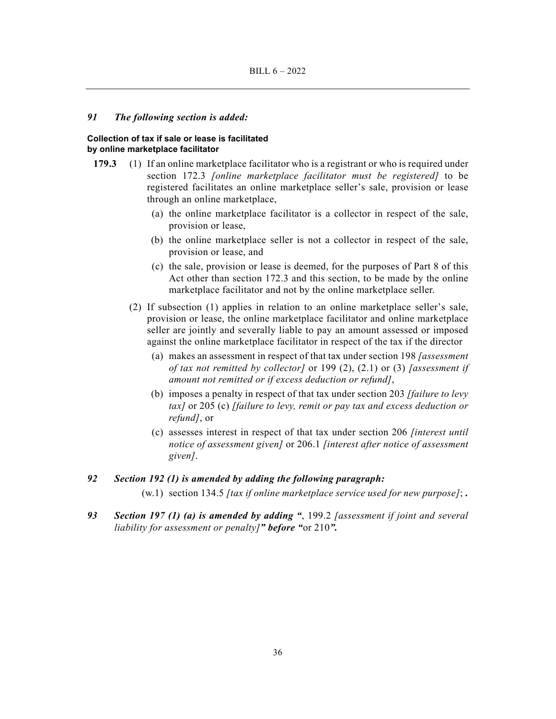### *91 The following section is added:*

#### **Collection of tax if sale or lease is facilitated by online marketplace facilitator**

- **179.3** (1) If an online marketplace facilitator who is a registrant or who is required under section 172.3 *[online marketplace facilitator must be registered]* to be registered facilitates an online marketplace seller's sale, provision or lease through an online marketplace,
	- (a) the online marketplace facilitator is a collector in respect of the sale, provision or lease,
	- (b) the online marketplace seller is not a collector in respect of the sale, provision or lease, and
	- (c) the sale, provision or lease is deemed, for the purposes of Part 8 of this Act other than section 172.3 and this section, to be made by the online marketplace facilitator and not by the online marketplace seller.
	- (2) If subsection (1) applies in relation to an online marketplace seller's sale, provision or lease, the online marketplace facilitator and online marketplace seller are jointly and severally liable to pay an amount assessed or imposed against the online marketplace facilitator in respect of the tax if the director
		- (a) makes an assessment in respect of that tax under section 198 *[assessment of tax not remitted by collector]* or 199 (2), (2.1) or (3) *[assessment if amount not remitted or if excess deduction or refund]*,
		- (b) imposes a penalty in respect of that tax under section 203 *[failure to levy tax]* or 205 (c) *[failure to levy, remit or pay tax and excess deduction or refund]*, or
		- (c) assesses interest in respect of that tax under section 206 *[interest until notice of assessment given]* or 206.1 *[interest after notice of assessment given]*.

# *92 Section 192 (1) is amended by adding the following paragraph:*

(w.1) section 134.5 *[tax if online marketplace service used for new purpose]*; *.*

*93 Section 197 (1) (a) is amended by adding "*, 199.2 *[assessment if joint and several liability for assessment or penalty]" before "*or 210*".*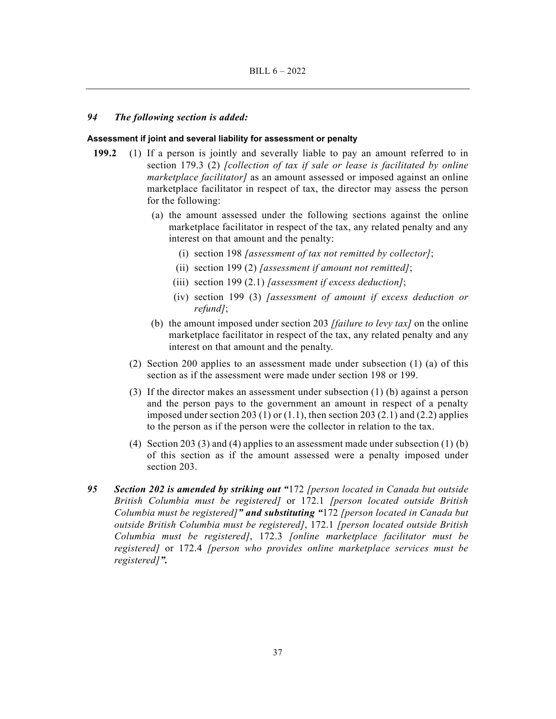### *94 The following section is added:*

#### **Assessment if joint and several liability for assessment or penalty**

- **199.2** (1) If a person is jointly and severally liable to pay an amount referred to in section 179.3 (2) *[collection of tax if sale or lease is facilitated by online marketplace facilitator]* as an amount assessed or imposed against an online marketplace facilitator in respect of tax, the director may assess the person for the following:
	- (a) the amount assessed under the following sections against the online marketplace facilitator in respect of the tax, any related penalty and any interest on that amount and the penalty:
		- (i) section 198 *[assessment of tax not remitted by collector]*;
		- (ii) section 199 (2) *[assessment if amount not remitted]*;
		- (iii) section 199 (2.1) *[assessment if excess deduction]*;
		- (iv) section 199 (3) *[assessment of amount if excess deduction or refund]*;
	- (b) the amount imposed under section 203 *[failure to levy tax]* on the online marketplace facilitator in respect of the tax, any related penalty and any interest on that amount and the penalty.
	- (2) Section 200 applies to an assessment made under subsection (1) (a) of this section as if the assessment were made under section 198 or 199.
	- (3) If the director makes an assessment under subsection (1) (b) against a person and the person pays to the government an amount in respect of a penalty imposed under section 203 (1) or  $(1.1)$ , then section 203 (2.1) and (2.2) applies to the person as if the person were the collector in relation to the tax.
	- (4) Section 203 (3) and (4) applies to an assessment made under subsection (1) (b) of this section as if the amount assessed were a penalty imposed under section 203.
- *95 Section 202 is amended by striking out "*172 *[person located in Canada but outside British Columbia must be registered]* or 172.1 *[person located outside British Columbia must be registered]" and substituting "*172 *[person located in Canada but outside British Columbia must be registered]*, 172.1 *[person located outside British Columbia must be registered]*, 172.3 *[online marketplace facilitator must be registered]* or 172.4 *[person who provides online marketplace services must be registered]".*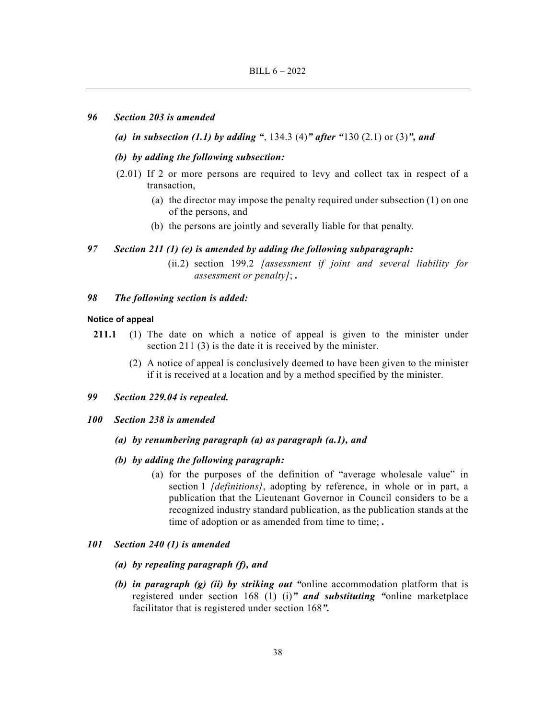# *96 Section 203 is amended*

# *(a) in subsection (1.1) by adding "*, 134.3 (4)*" after "*130 (2.1) or (3)*", and*

# *(b) by adding the following subsection:*

- (2.01) If 2 or more persons are required to levy and collect tax in respect of a transaction,
	- (a) the director may impose the penalty required under subsection (1) on one of the persons, and
	- (b) the persons are jointly and severally liable for that penalty.

# *97 Section 211 (1) (e) is amended by adding the following subparagraph:*

 (ii.2) section 199.2 *[assessment if joint and several liability for assessment or penalty]*; *.*

# *98 The following section is added:*

# **Notice of appeal**

- **211.1** (1) The date on which a notice of appeal is given to the minister under section 211 (3) is the date it is received by the minister.
	- (2) A notice of appeal is conclusively deemed to have been given to the minister if it is received at a location and by a method specified by the minister.

# *99 Section 229.04 is repealed.*

*100 Section 238 is amended* 

# *(a) by renumbering paragraph (a) as paragraph (a.1), and*

- *(b) by adding the following paragraph:* 
	- (a) for the purposes of the definition of "average wholesale value" in section 1 *[definitions]*, adopting by reference, in whole or in part, a publication that the Lieutenant Governor in Council considers to be a recognized industry standard publication, as the publication stands at the time of adoption or as amended from time to time; *.*

# *101 Section 240 (1) is amended*

- *(a) by repealing paragraph (f), and*
- *(b) in paragraph (g) (ii) by striking out "*online accommodation platform that is registered under section 168 (1) (i)*" and substituting "*online marketplace facilitator that is registered under section 168*".*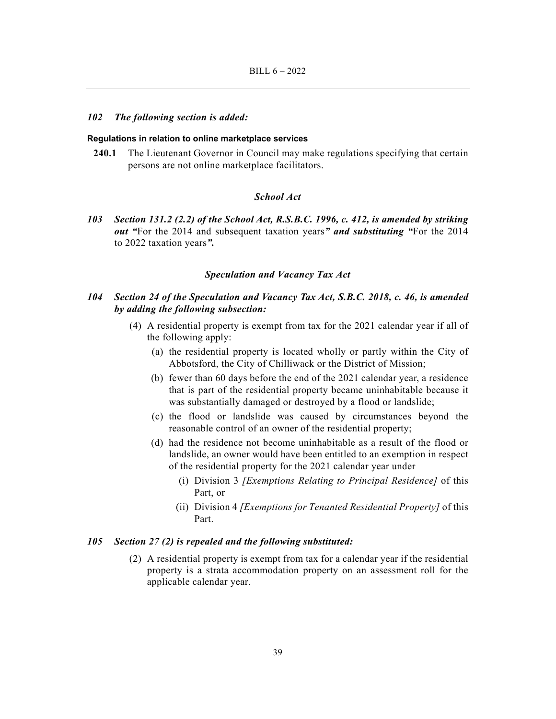#### *102 The following section is added:*

#### **Regulations in relation to online marketplace services**

**240.1** The Lieutenant Governor in Council may make regulations specifying that certain persons are not online marketplace facilitators.

# *School Act*

*103 Section 131.2 (2.2) of the School Act, R.S.B.C. 1996, c. 412, is amended by striking out "*For the 2014 and subsequent taxation years*" and substituting "*For the 2014 to 2022 taxation years*".* 

# *Speculation and Vacancy Tax Act*

# *104 Section 24 of the Speculation and Vacancy Tax Act, S.B.C. 2018, c. 46, is amended by adding the following subsection:*

- (4) A residential property is exempt from tax for the 2021 calendar year if all of the following apply:
	- (a) the residential property is located wholly or partly within the City of Abbotsford, the City of Chilliwack or the District of Mission;
	- (b) fewer than 60 days before the end of the 2021 calendar year, a residence that is part of the residential property became uninhabitable because it was substantially damaged or destroyed by a flood or landslide;
	- (c) the flood or landslide was caused by circumstances beyond the reasonable control of an owner of the residential property;
	- (d) had the residence not become uninhabitable as a result of the flood or landslide, an owner would have been entitled to an exemption in respect of the residential property for the 2021 calendar year under
		- (i) Division 3 *[Exemptions Relating to Principal Residence]* of this Part, or
		- (ii) Division 4 *[Exemptions for Tenanted Residential Property]* of this Part.

#### *105 Section 27 (2) is repealed and the following substituted:*

 (2) A residential property is exempt from tax for a calendar year if the residential property is a strata accommodation property on an assessment roll for the applicable calendar year.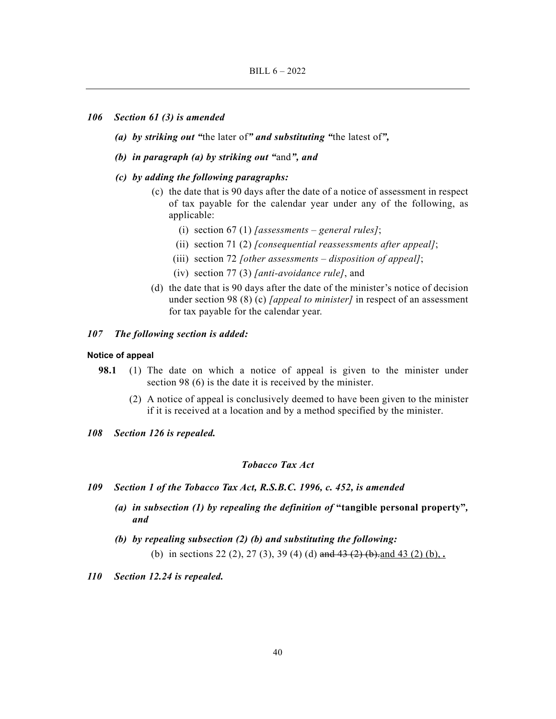#### *106 Section 61 (3) is amended*

- *(a) by striking out "*the later of*" and substituting "*the latest of*",*
- *(b) in paragraph (a) by striking out "*and*", and*
- *(c) by adding the following paragraphs:* 
	- (c) the date that is 90 days after the date of a notice of assessment in respect of tax payable for the calendar year under any of the following, as applicable:
		- (i) section 67 (1) *[assessments general rules]*;
		- (ii) section 71 (2) *[consequential reassessments after appeal]*;
		- (iii) section 72 *[other assessments disposition of appeal]*;
		- (iv) section 77 (3) *[anti-avoidance rule]*, and
	- (d) the date that is 90 days after the date of the minister's notice of decision under section 98 (8) (c) *[appeal to minister]* in respect of an assessment for tax payable for the calendar year.

# *107 The following section is added:*

#### **Notice of appeal**

- **98.1** (1) The date on which a notice of appeal is given to the minister under section 98 (6) is the date it is received by the minister.
	- (2) A notice of appeal is conclusively deemed to have been given to the minister if it is received at a location and by a method specified by the minister.
- *108 Section 126 is repealed.*

# *Tobacco Tax Act*

- *109 Section 1 of the Tobacco Tax Act, R.S.B.C. 1996, c. 452, is amended* 
	- *(a) in subsection (1) by repealing the definition of* **"tangible personal property"***, and*
	- *(b) by repealing subsection (2) (b) and substituting the following:*  (b) in sections 22 (2), 27 (3), 39 (4) (d) and 43 (2) (b),  $\frac{1}{2}$  (b),  $\frac{1}{2}$  (b),  $\frac{1}{2}$  (b),  $\frac{1}{2}$
- *110 Section 12.24 is repealed.*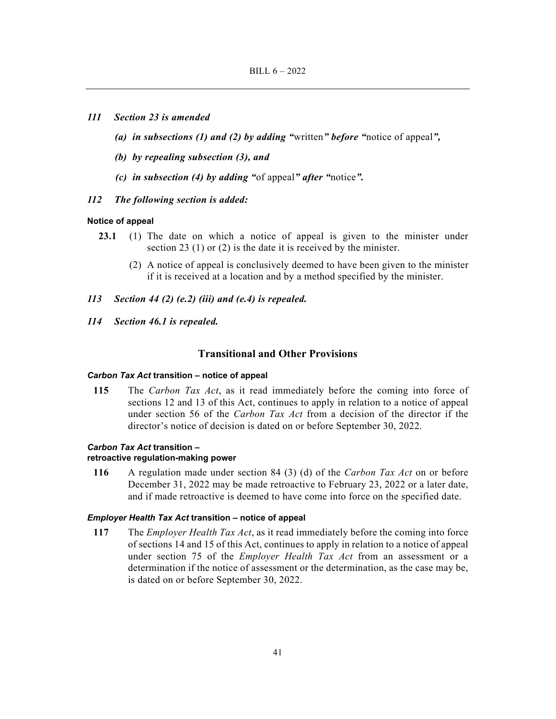- *111 Section 23 is amended* 
	- *(a) in subsections (1) and (2) by adding "*written*" before "*notice of appeal*",*
	- *(b) by repealing subsection (3), and*
	- *(c) in subsection (4) by adding "*of appeal*" after "*notice*".*
- *112 The following section is added:*

### **Notice of appeal**

- **23.1** (1) The date on which a notice of appeal is given to the minister under section 23 (1) or (2) is the date it is received by the minister.
	- (2) A notice of appeal is conclusively deemed to have been given to the minister if it is received at a location and by a method specified by the minister.
- *113 Section 44 (2) (e.2) (iii) and (e.4) is repealed.*
- *114 Section 46.1 is repealed.*

# **Transitional and Other Provisions**

# *Carbon Tax Act* **transition – notice of appeal**

**115** The *Carbon Tax Act*, as it read immediately before the coming into force of sections 12 and 13 of this Act, continues to apply in relation to a notice of appeal under section 56 of the *Carbon Tax Act* from a decision of the director if the director's notice of decision is dated on or before September 30, 2022.

#### *Carbon Tax Act* **transition –**

#### **retroactive regulation-making power**

**116** A regulation made under section 84 (3) (d) of the *Carbon Tax Act* on or before December 31, 2022 may be made retroactive to February 23, 2022 or a later date, and if made retroactive is deemed to have come into force on the specified date.

#### *Employer Health Tax Act* **transition – notice of appeal**

**117** The *Employer Health Tax Act*, as it read immediately before the coming into force of sections 14 and 15 of this Act, continues to apply in relation to a notice of appeal under section 75 of the *Employer Health Tax Act* from an assessment or a determination if the notice of assessment or the determination, as the case may be, is dated on or before September 30, 2022.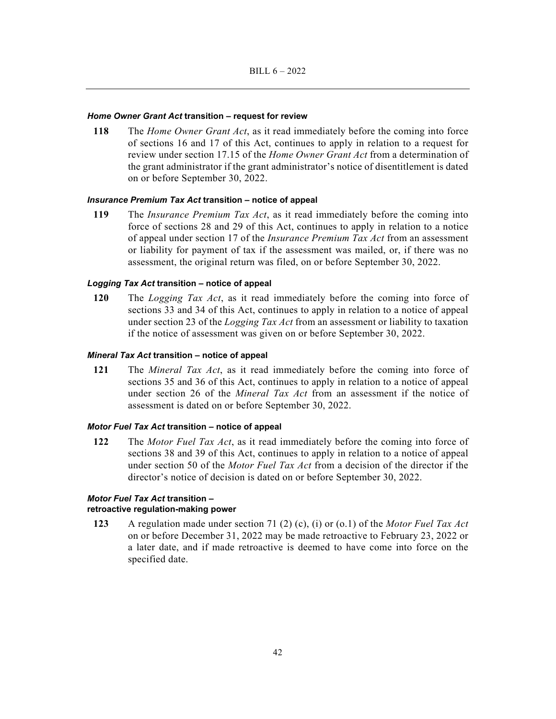#### *Home Owner Grant Act* **transition – request for review**

**118** The *Home Owner Grant Act*, as it read immediately before the coming into force of sections 16 and 17 of this Act, continues to apply in relation to a request for review under section 17.15 of the *Home Owner Grant Act* from a determination of the grant administrator if the grant administrator's notice of disentitlement is dated on or before September 30, 2022.

# *Insurance Premium Tax Act* **transition – notice of appeal**

**119** The *Insurance Premium Tax Act*, as it read immediately before the coming into force of sections 28 and 29 of this Act, continues to apply in relation to a notice of appeal under section 17 of the *Insurance Premium Tax Act* from an assessment or liability for payment of tax if the assessment was mailed, or, if there was no assessment, the original return was filed, on or before September 30, 2022.

# *Logging Tax Act* **transition – notice of appeal**

**120** The *Logging Tax Act*, as it read immediately before the coming into force of sections 33 and 34 of this Act, continues to apply in relation to a notice of appeal under section 23 of the *Logging Tax Act* from an assessment or liability to taxation if the notice of assessment was given on or before September 30, 2022.

# *Mineral Tax Act* **transition – notice of appeal**

**121** The *Mineral Tax Act*, as it read immediately before the coming into force of sections 35 and 36 of this Act, continues to apply in relation to a notice of appeal under section 26 of the *Mineral Tax Act* from an assessment if the notice of assessment is dated on or before September 30, 2022.

#### *Motor Fuel Tax Act* **transition – notice of appeal**

**122** The *Motor Fuel Tax Act*, as it read immediately before the coming into force of sections 38 and 39 of this Act, continues to apply in relation to a notice of appeal under section 50 of the *Motor Fuel Tax Act* from a decision of the director if the director's notice of decision is dated on or before September 30, 2022.

# *Motor Fuel Tax Act* **transition – retroactive regulation-making power**

**123** A regulation made under section 71 (2) (c), (i) or (o.1) of the *Motor Fuel Tax Act* on or before December 31, 2022 may be made retroactive to February 23, 2022 or a later date, and if made retroactive is deemed to have come into force on the specified date.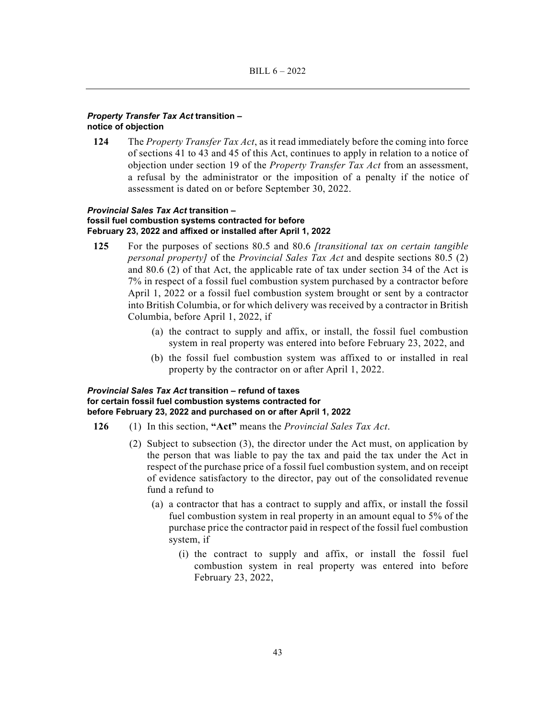# *Property Transfer Tax Act* **transition – notice of objection**

**124** The *Property Transfer Tax Act*, as it read immediately before the coming into force of sections 41 to 43 and 45 of this Act, continues to apply in relation to a notice of objection under section 19 of the *Property Transfer Tax Act* from an assessment, a refusal by the administrator or the imposition of a penalty if the notice of assessment is dated on or before September 30, 2022.

# *Provincial Sales Tax Act* **transition – fossil fuel combustion systems contracted for before February 23, 2022 and affixed or installed after April 1, 2022**

- **125** For the purposes of sections 80.5 and 80.6 *[transitional tax on certain tangible personal property]* of the *Provincial Sales Tax Act* and despite sections 80.5 (2) and 80.6 (2) of that Act, the applicable rate of tax under section 34 of the Act is 7% in respect of a fossil fuel combustion system purchased by a contractor before April 1, 2022 or a fossil fuel combustion system brought or sent by a contractor into British Columbia, or for which delivery was received by a contractor in British Columbia, before April 1, 2022, if
	- (a) the contract to supply and affix, or install, the fossil fuel combustion system in real property was entered into before February 23, 2022, and
	- (b) the fossil fuel combustion system was affixed to or installed in real property by the contractor on or after April 1, 2022.

# *Provincial Sales Tax Act* **transition – refund of taxes for certain fossil fuel combustion systems contracted for before February 23, 2022 and purchased on or after April 1, 2022**

- **126** (1) In this section, **"Act"** means the *Provincial Sales Tax Act*.
	- (2) Subject to subsection (3), the director under the Act must, on application by the person that was liable to pay the tax and paid the tax under the Act in respect of the purchase price of a fossil fuel combustion system, and on receipt of evidence satisfactory to the director, pay out of the consolidated revenue fund a refund to
		- (a) a contractor that has a contract to supply and affix, or install the fossil fuel combustion system in real property in an amount equal to 5% of the purchase price the contractor paid in respect of the fossil fuel combustion system, if
			- (i) the contract to supply and affix, or install the fossil fuel combustion system in real property was entered into before February 23, 2022,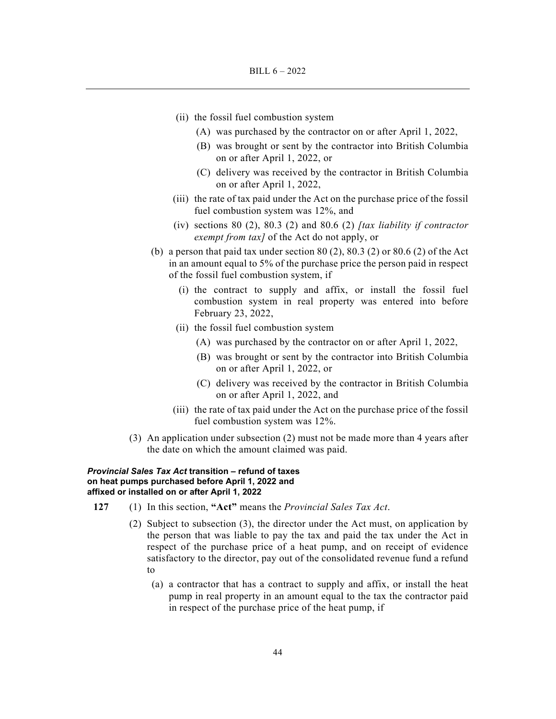- (ii) the fossil fuel combustion system
	- (A) was purchased by the contractor on or after April 1, 2022,
	- (B) was brought or sent by the contractor into British Columbia on or after April 1, 2022, or
	- (C) delivery was received by the contractor in British Columbia on or after April 1, 2022,
- (iii) the rate of tax paid under the Act on the purchase price of the fossil fuel combustion system was 12%, and
- (iv) sections 80 (2), 80.3 (2) and 80.6 (2) *[tax liability if contractor exempt from tax]* of the Act do not apply, or
- (b) a person that paid tax under section  $80(2)$ ,  $80.3(2)$  or  $80.6(2)$  of the Act in an amount equal to 5% of the purchase price the person paid in respect of the fossil fuel combustion system, if
	- (i) the contract to supply and affix, or install the fossil fuel combustion system in real property was entered into before February 23, 2022,
	- (ii) the fossil fuel combustion system
		- (A) was purchased by the contractor on or after April 1, 2022,
		- (B) was brought or sent by the contractor into British Columbia on or after April 1, 2022, or
		- (C) delivery was received by the contractor in British Columbia on or after April 1, 2022, and
	- (iii) the rate of tax paid under the Act on the purchase price of the fossil fuel combustion system was 12%.
- (3) An application under subsection (2) must not be made more than 4 years after the date on which the amount claimed was paid.

# *Provincial Sales Tax Act* **transition – refund of taxes on heat pumps purchased before April 1, 2022 and affixed or installed on or after April 1, 2022**

- **127** (1) In this section, **"Act"** means the *Provincial Sales Tax Act*.
	- (2) Subject to subsection (3), the director under the Act must, on application by the person that was liable to pay the tax and paid the tax under the Act in respect of the purchase price of a heat pump, and on receipt of evidence satisfactory to the director, pay out of the consolidated revenue fund a refund to
		- (a) a contractor that has a contract to supply and affix, or install the heat pump in real property in an amount equal to the tax the contractor paid in respect of the purchase price of the heat pump, if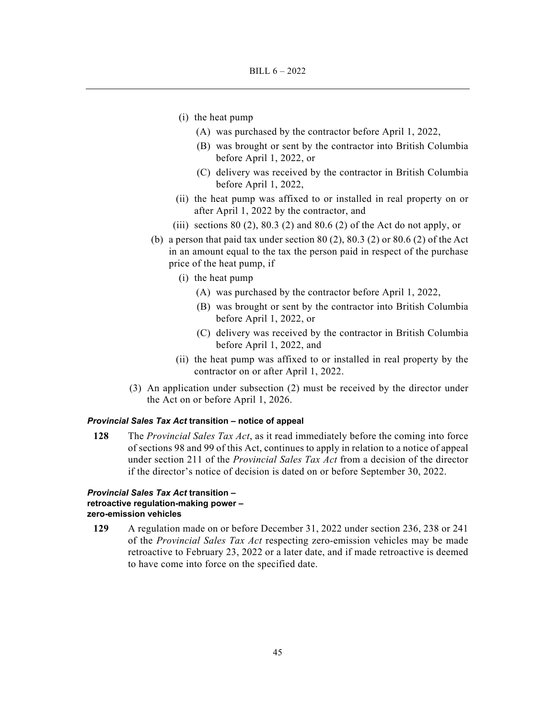- (i) the heat pump
	- (A) was purchased by the contractor before April 1, 2022,
	- (B) was brought or sent by the contractor into British Columbia before April 1, 2022, or
	- (C) delivery was received by the contractor in British Columbia before April 1, 2022,
- (ii) the heat pump was affixed to or installed in real property on or after April 1, 2022 by the contractor, and
- (iii) sections  $80$  (2),  $80.3$  (2) and  $80.6$  (2) of the Act do not apply, or
- (b) a person that paid tax under section  $80(2)$ ,  $80.3(2)$  or  $80.6(2)$  of the Act in an amount equal to the tax the person paid in respect of the purchase price of the heat pump, if
	- (i) the heat pump
		- (A) was purchased by the contractor before April 1, 2022,
		- (B) was brought or sent by the contractor into British Columbia before April 1, 2022, or
		- (C) delivery was received by the contractor in British Columbia before April 1, 2022, and
	- (ii) the heat pump was affixed to or installed in real property by the contractor on or after April 1, 2022.
- (3) An application under subsection (2) must be received by the director under the Act on or before April 1, 2026.

#### *Provincial Sales Tax Act* **transition – notice of appeal**

**128** The *Provincial Sales Tax Act*, as it read immediately before the coming into force of sections 98 and 99 of this Act, continues to apply in relation to a notice of appeal under section 211 of the *Provincial Sales Tax Act* from a decision of the director if the director's notice of decision is dated on or before September 30, 2022.

# *Provincial Sales Tax Act* **transition – retroactive regulation-making power – zero-emission vehicles**

**129** A regulation made on or before December 31, 2022 under section 236, 238 or 241 of the *Provincial Sales Tax Act* respecting zero-emission vehicles may be made retroactive to February 23, 2022 or a later date, and if made retroactive is deemed to have come into force on the specified date.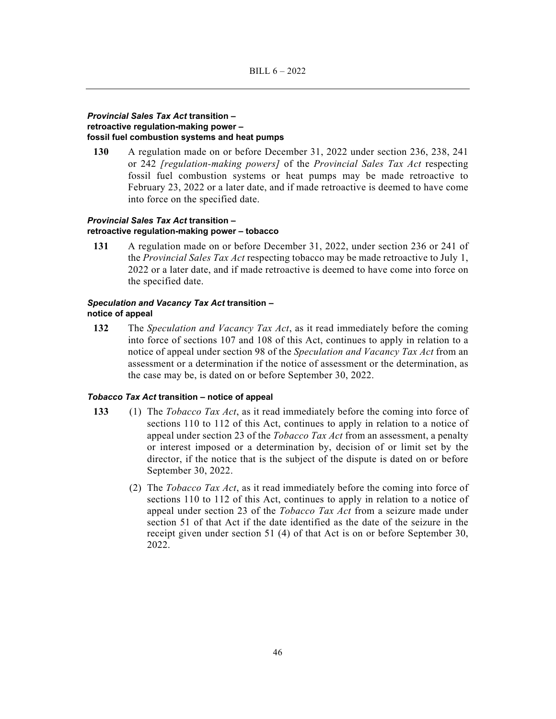# *Provincial Sales Tax Act* **transition – retroactive regulation-making power – fossil fuel combustion systems and heat pumps**

**130** A regulation made on or before December 31, 2022 under section 236, 238, 241 or 242 *[regulation-making powers]* of the *Provincial Sales Tax Act* respecting fossil fuel combustion systems or heat pumps may be made retroactive to February 23, 2022 or a later date, and if made retroactive is deemed to have come into force on the specified date.

# *Provincial Sales Tax Act* **transition – retroactive regulation-making power – tobacco**

**131** A regulation made on or before December 31, 2022, under section 236 or 241 of the *Provincial Sales Tax Act* respecting tobacco may be made retroactive to July 1, 2022 or a later date, and if made retroactive is deemed to have come into force on the specified date.

# *Speculation and Vacancy Tax Act* **transition – notice of appeal**

**132** The *Speculation and Vacancy Tax Act*, as it read immediately before the coming into force of sections 107 and 108 of this Act, continues to apply in relation to a notice of appeal under section 98 of the *Speculation and Vacancy Tax Act* from an assessment or a determination if the notice of assessment or the determination, as the case may be, is dated on or before September 30, 2022.

#### *Tobacco Tax Act* **transition – notice of appeal**

- **133** (1) The *Tobacco Tax Act*, as it read immediately before the coming into force of sections 110 to 112 of this Act, continues to apply in relation to a notice of appeal under section 23 of the *Tobacco Tax Act* from an assessment, a penalty or interest imposed or a determination by, decision of or limit set by the director, if the notice that is the subject of the dispute is dated on or before September 30, 2022.
	- (2) The *Tobacco Tax Act*, as it read immediately before the coming into force of sections 110 to 112 of this Act, continues to apply in relation to a notice of appeal under section 23 of the *Tobacco Tax Act* from a seizure made under section 51 of that Act if the date identified as the date of the seizure in the receipt given under section 51 (4) of that Act is on or before September 30, 2022.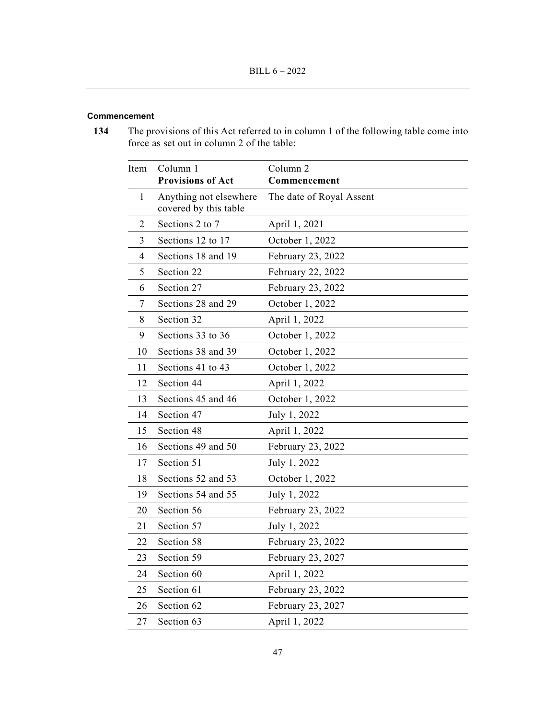# **Commencement**

**134** The provisions of this Act referred to in column 1 of the following table come into force as set out in column 2 of the table:

| Item         | Column 1<br><b>Provisions of Act</b>            | Column <sub>2</sub><br>Commencement |
|--------------|-------------------------------------------------|-------------------------------------|
| $\mathbf{1}$ | Anything not elsewhere<br>covered by this table | The date of Royal Assent            |
| 2            | Sections 2 to 7                                 | April 1, 2021                       |
| 3            | Sections 12 to 17                               | October 1, 2022                     |
| 4            | Sections 18 and 19                              | February 23, 2022                   |
| 5            | Section 22                                      | February 22, 2022                   |
| 6            | Section 27                                      | February 23, 2022                   |
| 7            | Sections 28 and 29                              | October 1, 2022                     |
| 8            | Section 32                                      | April 1, 2022                       |
| 9            | Sections 33 to 36                               | October 1, 2022                     |
| 10           | Sections 38 and 39                              | October 1, 2022                     |
| 11           | Sections 41 to 43                               | October 1, 2022                     |
| 12           | Section 44                                      | April 1, 2022                       |
| 13           | Sections 45 and 46                              | October 1, 2022                     |
| 14           | Section 47                                      | July 1, 2022                        |
| 15           | Section 48                                      | April 1, 2022                       |
| 16           | Sections 49 and 50                              | February 23, 2022                   |
| 17           | Section 51                                      | July 1, 2022                        |
| 18           | Sections 52 and 53                              | October 1, 2022                     |
| 19           | Sections 54 and 55                              | July 1, 2022                        |
| 20           | Section 56                                      | February 23, 2022                   |
| 21           | Section 57                                      | July 1, 2022                        |
| 22           | Section 58                                      | February 23, 2022                   |
| 23           | Section 59                                      | February 23, 2027                   |
| 24           | Section 60                                      | April 1, 2022                       |
| 25           | Section 61                                      | February 23, 2022                   |
| 26           | Section 62                                      | February 23, 2027                   |
| 27           | Section 63                                      | April 1, 2022                       |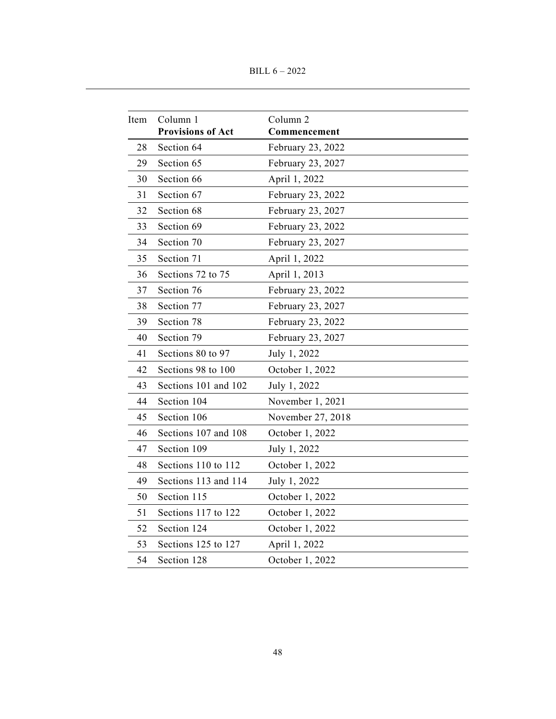BILL 6 – 2022

| Item | Column 1                 | Column <sub>2</sub> |
|------|--------------------------|---------------------|
|      | <b>Provisions of Act</b> | Commencement        |
| 28   | Section 64               | February 23, 2022   |
| 29   | Section 65               | February 23, 2027   |
| 30   | Section 66               | April 1, 2022       |
| 31   | Section 67               | February 23, 2022   |
| 32   | Section 68               | February 23, 2027   |
| 33   | Section 69               | February 23, 2022   |
| 34   | Section 70               | February 23, 2027   |
| 35   | Section 71               | April 1, 2022       |
| 36   | Sections 72 to 75        | April 1, 2013       |
| 37   | Section 76               | February 23, 2022   |
| 38   | Section 77               | February 23, 2027   |
| 39   | Section 78               | February 23, 2022   |
| 40   | Section 79               | February 23, 2027   |
| 41   | Sections 80 to 97        | July 1, 2022        |
| 42   | Sections 98 to 100       | October 1, 2022     |
| 43   | Sections 101 and 102     | July 1, 2022        |
| 44   | Section 104              | November 1, 2021    |
| 45   | Section 106              | November 27, 2018   |
| 46   | Sections 107 and 108     | October 1, 2022     |
| 47   | Section 109              | July 1, 2022        |
| 48   | Sections 110 to 112      | October 1, 2022     |
| 49   | Sections 113 and 114     | July 1, 2022        |
| 50   | Section 115              | October 1, 2022     |
| 51   | Sections 117 to 122      | October 1, 2022     |
| 52   | Section 124              | October 1, 2022     |
| 53   | Sections 125 to 127      | April 1, 2022       |
| 54   | Section 128              | October 1, 2022     |